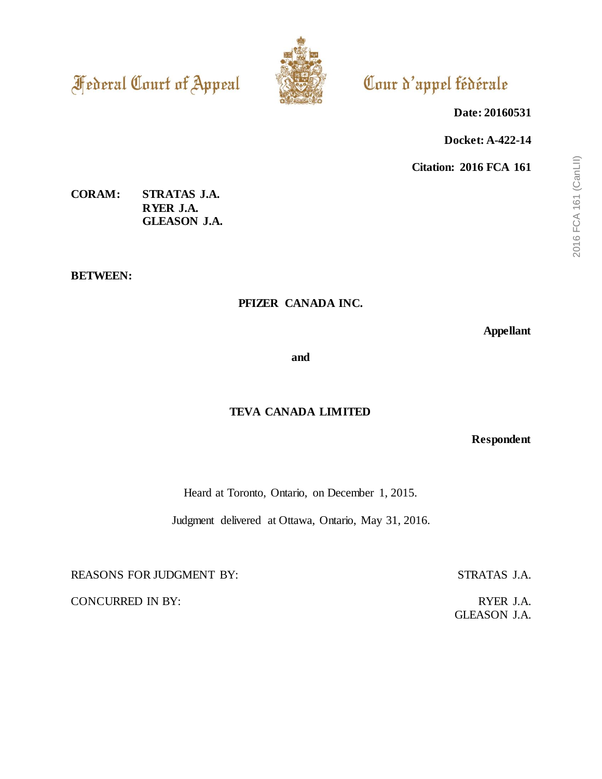**Federal Court of Appeal** 



# Cour d'appel fédérale

**Date: 20160531**

**Docket: A-422-14**

**Citation: 2016 FCA 161**

# **CORAM: STRATAS J.A. RYER J.A. GLEASON J.A.**

**BETWEEN:**

# **PFIZER CANADA INC.**

**Appellant**

**and**

# **TEVA CANADA LIMITED**

**Respondent**

Heard at Toronto, Ontario, on December 1, 2015.

Judgment delivered at Ottawa, Ontario, May 31, 2016.

REASONS FOR JUDGMENT BY: STRATAS J.A.

CONCURRED IN BY: RYER J.A.

GLEASON J.A.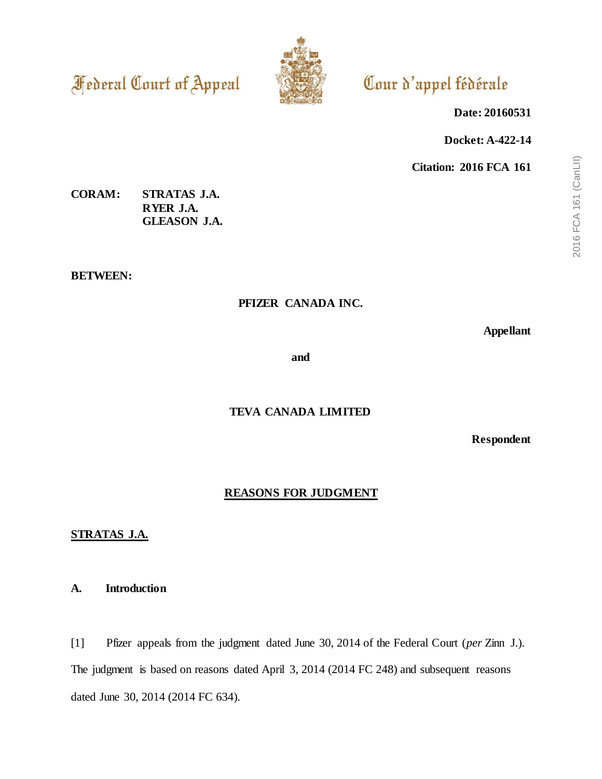**Federal Court of Appeal** 



# Cour d'appel fédérale

**Date: 20160531**

**Docket: A-422-14**

**Citation: 2016 FCA 161**

# **CORAM: STRATAS J.A. RYER J.A. GLEASON J.A.**

**BETWEEN:**

# **PFIZER CANADA INC.**

**Appellant**

**and**

# **TEVA CANADA LIMITED**

**Respondent**

# **REASONS FOR JUDGMENT**

# **STRATAS J.A.**

## **A. Introduction**

[1] Pfizer appeals from the judgment dated June 30, 2014 of the Federal Court (*per* Zinn J.). The judgment is based on reasons dated April 3, 2014 (2014 FC 248) and subsequent reasons dated June 30, 2014 (2014 FC 634).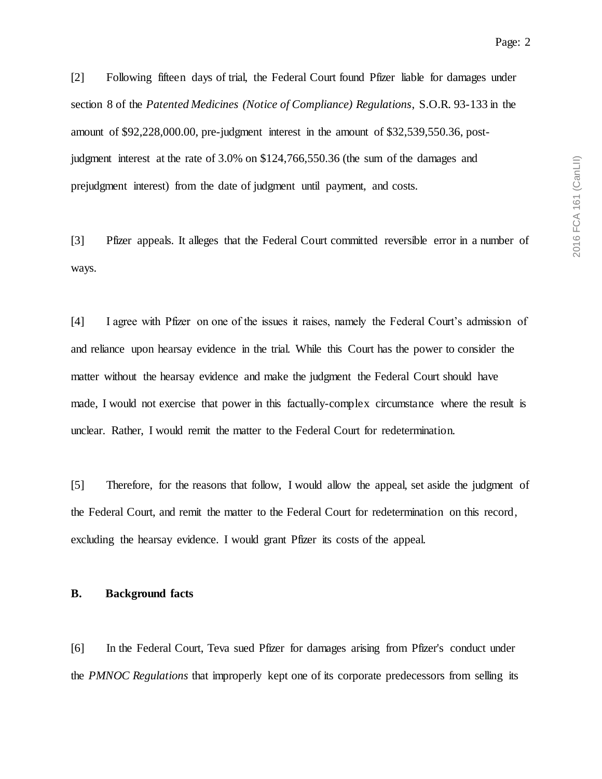[2] Following fifteen days of trial, the Federal Court found Pfizer liable for damages under section 8 of the *Patented Medicines (Notice of Compliance) Regulations*, S.O.R. 93-133 in the amount of \$92,228,000.00, pre-judgment interest in the amount of \$32,539,550.36, postjudgment interest at the rate of 3.0% on \$124,766,550.36 (the sum of the damages and prejudgment interest) from the date of judgment until payment, and costs.

[3] Pfizer appeals. It alleges that the Federal Court committed reversible error in a number of ways.

[4] I agree with Pfizer on one of the issues it raises, namely the Federal Court's admission of and reliance upon hearsay evidence in the trial. While this Court has the power to consider the matter without the hearsay evidence and make the judgment the Federal Court should have made, I would not exercise that power in this factually-complex circumstance where the result is unclear. Rather, I would remit the matter to the Federal Court for redetermination.

[5] Therefore, for the reasons that follow, I would allow the appeal, set aside the judgment of the Federal Court, and remit the matter to the Federal Court for redetermination on this record, excluding the hearsay evidence. I would grant Pfizer its costs of the appeal.

#### **B. Background facts**

[6] In the Federal Court, Teva sued Pfizer for damages arising from Pfizer's conduct under the *PMNOC Regulations* that improperly kept one of its corporate predecessors from selling its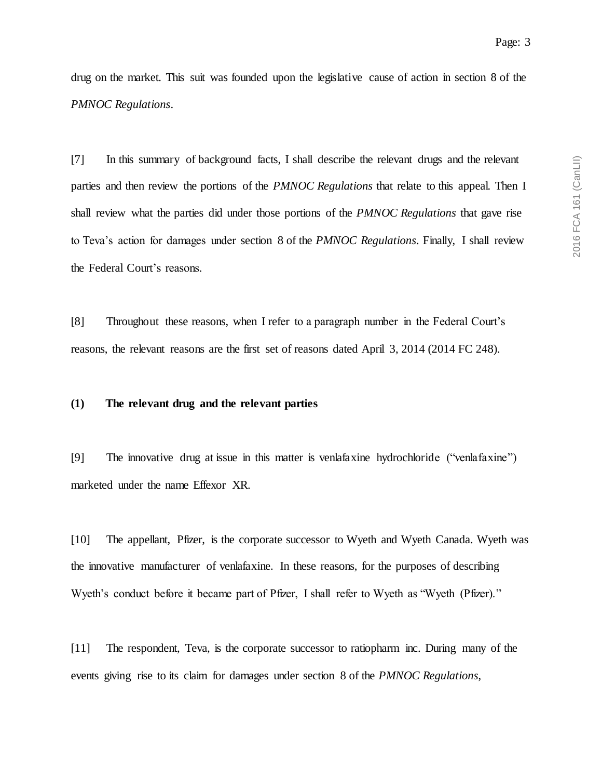drug on the market. This suit was founded upon the legislative cause of action in section 8 of the *PMNOC Regulations*.

[7] In this summary of background facts, I shall describe the relevant drugs and the relevant parties and then review the portions of the *PMNOC Regulations* that relate to this appeal. Then I shall review what the parties did under those portions of the *PMNOC Regulations* that gave rise to Teva's action for damages under section 8 of the *PMNOC Regulations*. Finally, I shall review the Federal Court's reasons.

[8] Throughout these reasons, when I refer to a paragraph number in the Federal Court's reasons, the relevant reasons are the first set of reasons dated April 3, 2014 (2014 FC 248).

#### **(1) The relevant drug and the relevant parties**

[9] The innovative drug at issue in this matter is venlafaxine hydrochloride ("venlafaxine") marketed under the name Effexor XR.

[10] The appellant, Pfizer, is the corporate successor to Wyeth and Wyeth Canada. Wyeth was the innovative manufacturer of venlafaxine. In these reasons, for the purposes of describing Wyeth's conduct before it became part of Pfizer, I shall refer to Wyeth as "Wyeth (Pfizer)."

[11] The respondent, Teva, is the corporate successor to ratiopharm inc. During many of the events giving rise to its claim for damages under section 8 of the *PMNOC Regulations*,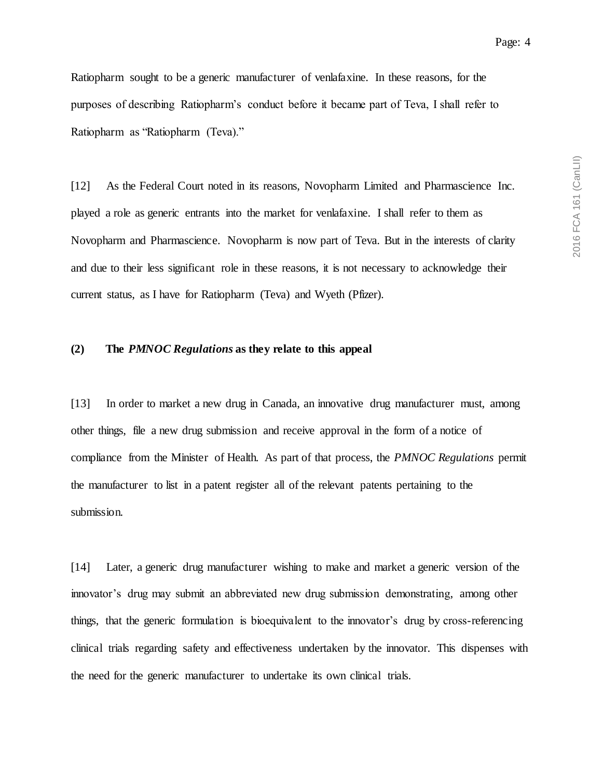Ratiopharm sought to be a generic manufacturer of venlafaxine. In these reasons, for the purposes of describing Ratiopharm's conduct before it became part of Teva, I shall refer to Ratiopharm as "Ratiopharm (Teva)."

[12] As the Federal Court noted in its reasons, Novopharm Limited and Pharmascience Inc. played a role as generic entrants into the market for venlafaxine. I shall refer to them as Novopharm and Pharmascience. Novopharm is now part of Teva. But in the interests of clarity and due to their less significant role in these reasons, it is not necessary to acknowledge their current status, as I have for Ratiopharm (Teva) and Wyeth (Pfizer).

### **(2) The** *PMNOC Regulations* **as they relate to this appeal**

[13] In order to market a new drug in Canada, an innovative drug manufacturer must, among other things, file a new drug submission and receive approval in the form of a notice of compliance from the Minister of Health. As part of that process, the *PMNOC Regulations* permit the manufacturer to list in a patent register all of the relevant patents pertaining to the submission.

[14] Later, a generic drug manufacturer wishing to make and market a generic version of the innovator's drug may submit an abbreviated new drug submission demonstrating, among other things, that the generic formulation is bioequivalent to the innovator's drug by cross-referencing clinical trials regarding safety and effectiveness undertaken by the innovator. This dispenses with the need for the generic manufacturer to undertake its own clinical trials.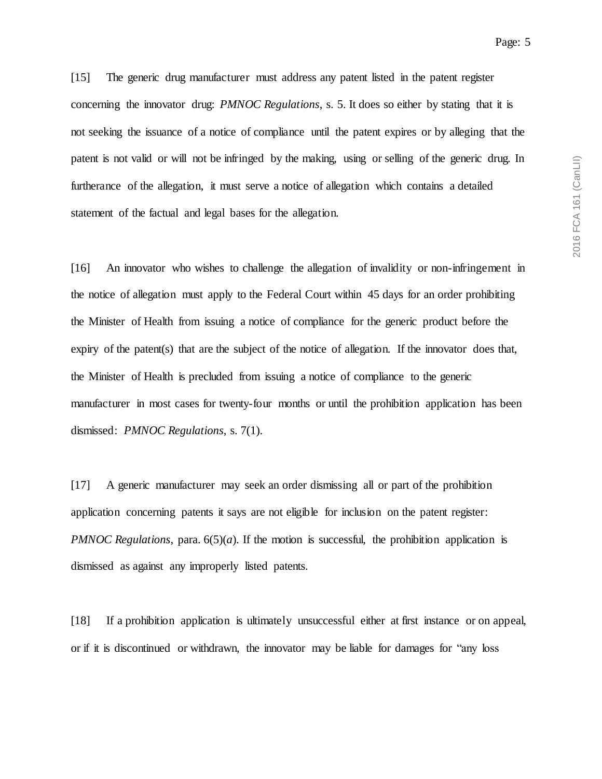[15] The generic drug manufacturer must address any patent listed in the patent register concerning the innovator drug: *PMNOC Regulations*, s. 5. It does so either by stating that it is not seeking the issuance of a notice of compliance until the patent expires or by alleging that the patent is not valid or will not be infringed by the making, using or selling of the generic drug. In furtherance of the allegation, it must serve a notice of allegation which contains a detailed statement of the factual and legal bases for the allegation.

[16] An innovator who wishes to challenge the allegation of invalidity or non-infringement in the notice of allegation must apply to the Federal Court within 45 days for an order prohibiting the Minister of Health from issuing a notice of compliance for the generic product before the expiry of the patent(s) that are the subject of the notice of allegation. If the innovator does that, the Minister of Health is precluded from issuing a notice of compliance to the generic manufacturer in most cases for twenty-four months or until the prohibition application has been dismissed: *PMNOC Regulations*, s. 7(1).

[17] A generic manufacturer may seek an order dismissing all or part of the prohibition application concerning patents it says are not eligible for inclusion on the patent register: *PMNOC Regulations*, para.  $6(5)(a)$ . If the motion is successful, the prohibition application is dismissed as against any improperly listed patents.

[18] If a prohibition application is ultimately unsuccessful either at first instance or on appeal, or if it is discontinued or withdrawn, the innovator may be liable for damages for "any loss

Page: 5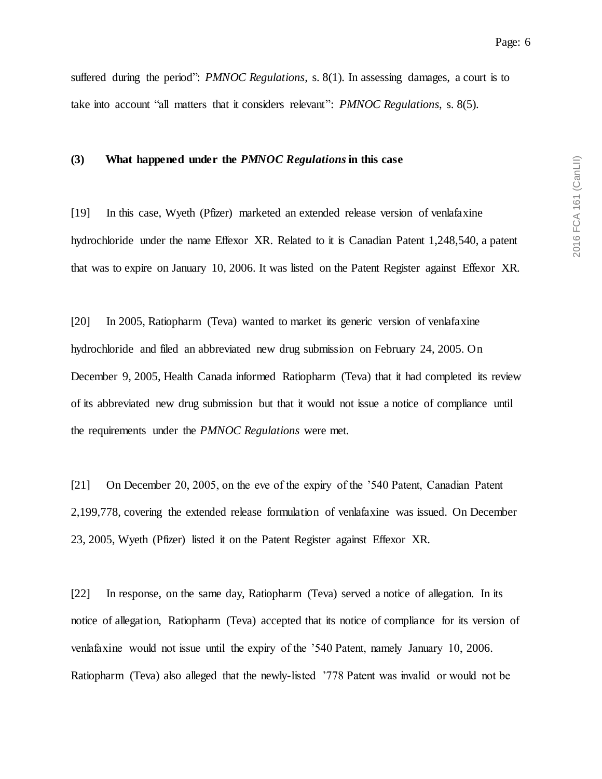suffered during the period": *PMNOC Regulations*, s. 8(1). In assessing damages, a court is to take into account "all matters that it considers relevant": *PMNOC Regulations*, s. 8(5).

#### **(3) What happened under the** *PMNOC Regulations***in this case**

[19] In this case, Wyeth (Pfizer) marketed an extended release version of venlafaxine hydrochloride under the name Effexor XR. Related to it is Canadian Patent 1,248,540, a patent that was to expire on January 10, 2006. It was listed on the Patent Register against Effexor XR.

[20] In 2005, Ratiopharm (Teva) wanted to market its generic version of venlafaxine hydrochloride and filed an abbreviated new drug submission on February 24, 2005. On December 9, 2005, Health Canada informed Ratiopharm (Teva) that it had completed its review of its abbreviated new drug submission but that it would not issue a notice of compliance until the requirements under the *PMNOC Regulations* were met.

[21] On December 20, 2005, on the eve of the expiry of the '540 Patent, Canadian Patent 2,199,778, covering the extended release formulation of venlafaxine was issued. On December 23, 2005, Wyeth (Pfizer) listed it on the Patent Register against Effexor XR.

[22] In response, on the same day, Ratiopharm (Teva) served a notice of allegation. In its notice of allegation, Ratiopharm (Teva) accepted that its notice of compliance for its version of venlafaxine would not issue until the expiry of the '540 Patent, namely January 10, 2006. Ratiopharm (Teva) also alleged that the newly-listed '778 Patent was invalid or would not be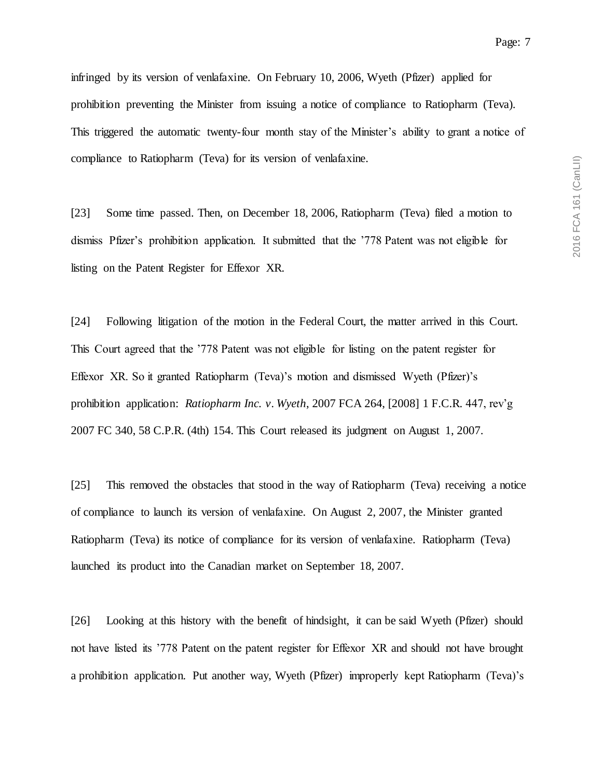infringed by its version of venlafaxine. On February 10, 2006, Wyeth (Pfizer) applied for prohibition preventing the Minister from issuing a notice of compliance to Ratiopharm (Teva). This triggered the automatic twenty-four month stay of the Minister's ability to grant a notice of compliance to Ratiopharm (Teva) for its version of venlafaxine.

[23] Some time passed. Then, on December 18, 2006, Ratiopharm (Teva) filed a motion to dismiss Pfizer's prohibition application. It submitted that the '778 Patent was not eligible for listing on the Patent Register for Effexor XR.

[24] Following litigation of the motion in the Federal Court, the matter arrived in this Court. This Court agreed that the '778 Patent was not eligible for listing on the patent register for Effexor XR. So it granted Ratiopharm (Teva)'s motion and dismissed Wyeth (Pfizer)'s prohibition application: *Ratiopharm Inc. v. Wyeth*, 2007 FCA 264, [2008] 1 F.C.R. 447, rev'g 2007 FC 340, 58 C.P.R. (4th) 154. This Court released its judgment on August 1, 2007.

[25] This removed the obstacles that stood in the way of Ratiopharm (Teva) receiving a notice of compliance to launch its version of venlafaxine. On August 2, 2007, the Minister granted Ratiopharm (Teva) its notice of compliance for its version of venlafaxine. Ratiopharm (Teva) launched its product into the Canadian market on September 18, 2007.

[26] Looking at this history with the benefit of hindsight, it can be said Wyeth (Pfizer) should not have listed its '778 Patent on the patent register for Effexor XR and should not have brought a prohibition application. Put another way, Wyeth (Pfizer) improperly kept Ratiopharm (Teva)'s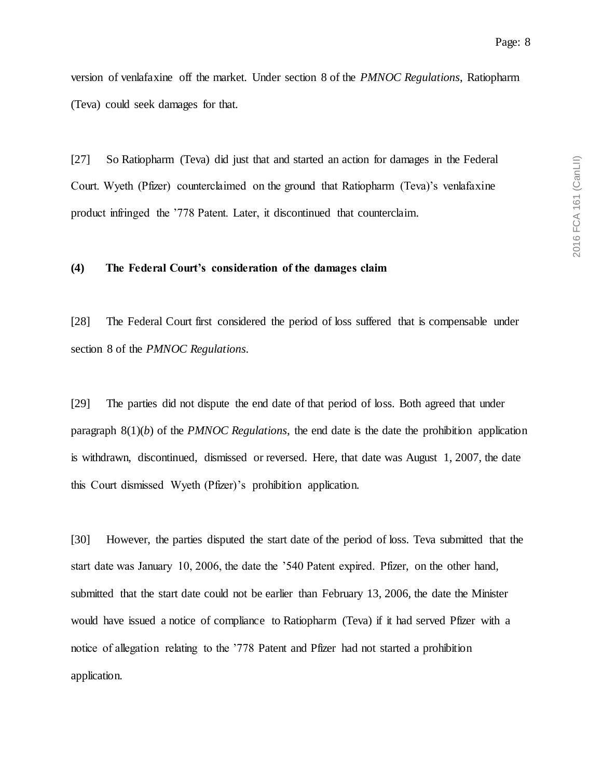version of venlafaxine off the market. Under section 8 of the *PMNOC Regulations*, Ratiopharm (Teva) could seek damages for that.

[27] So Ratiopharm (Teva) did just that and started an action for damages in the Federal Court. Wyeth (Pfizer) counterclaimed on the ground that Ratiopharm (Teva)'s venlafaxine product infringed the '778 Patent. Later, it discontinued that counterclaim.

## **(4) The Federal Court's consideration of the damages claim**

[28] The Federal Court first considered the period of loss suffered that is compensable under section 8 of the *PMNOC Regulations*.

[29] The parties did not dispute the end date of that period of loss. Both agreed that under paragraph 8(1)(*b*) of the *PMNOC Regulations*, the end date is the date the prohibition application is withdrawn, discontinued, dismissed or reversed. Here, that date was August 1, 2007, the date this Court dismissed Wyeth (Pfizer)'s prohibition application.

[30] However, the parties disputed the start date of the period of loss. Teva submitted that the start date was January 10, 2006, the date the '540 Patent expired. Pfizer, on the other hand, submitted that the start date could not be earlier than February 13, 2006, the date the Minister would have issued a notice of compliance to Ratiopharm (Teva) if it had served Pfizer with a notice of allegation relating to the '778 Patent and Pfizer had not started a prohibition application.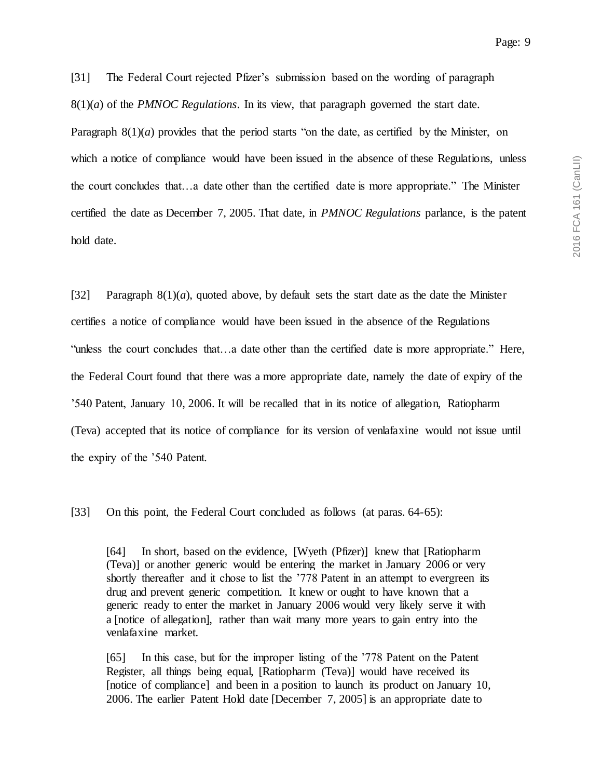[31] The Federal Court rejected Pfizer's submission based on the wording of paragraph 8(1)(*a*) of the *PMNOC Regulations*. In its view, that paragraph governed the start date. Paragraph  $8(1)(a)$  provides that the period starts "on the date, as certified by the Minister, on which a notice of compliance would have been issued in the absence of these Regulations, unless the court concludes that…a date other than the certified date is more appropriate." The Minister certified the date as December 7, 2005. That date, in *PMNOC Regulations* parlance, is the patent hold date.

[32] Paragraph 8(1)(*a*), quoted above, by default sets the start date as the date the Minister certifies a notice of compliance would have been issued in the absence of the Regulations "unless the court concludes that…a date other than the certified date is more appropriate." Here, the Federal Court found that there was a more appropriate date, namely the date of expiry of the '540 Patent, January 10, 2006. It will be recalled that in its notice of allegation, Ratiopharm (Teva) accepted that its notice of compliance for its version of venlafaxine would not issue until the expiry of the '540 Patent.

[33] On this point, the Federal Court concluded as follows (at paras. 64-65):

[64] In short, based on the evidence, [Wyeth (Pfizer)] knew that [Ratiopharm (Teva)] or another generic would be entering the market in January 2006 or very shortly thereafter and it chose to list the '778 Patent in an attempt to evergreen its drug and prevent generic competition. It knew or ought to have known that a generic ready to enter the market in January 2006 would very likely serve it with a [notice of allegation], rather than wait many more years to gain entry into the venlafaxine market.

[65] In this case, but for the improper listing of the '778 Patent on the Patent Register, all things being equal, [Ratiopharm (Teva)] would have received its [notice of compliance] and been in a position to launch its product on January 10, 2006. The earlier Patent Hold date [December 7, 2005] is an appropriate date to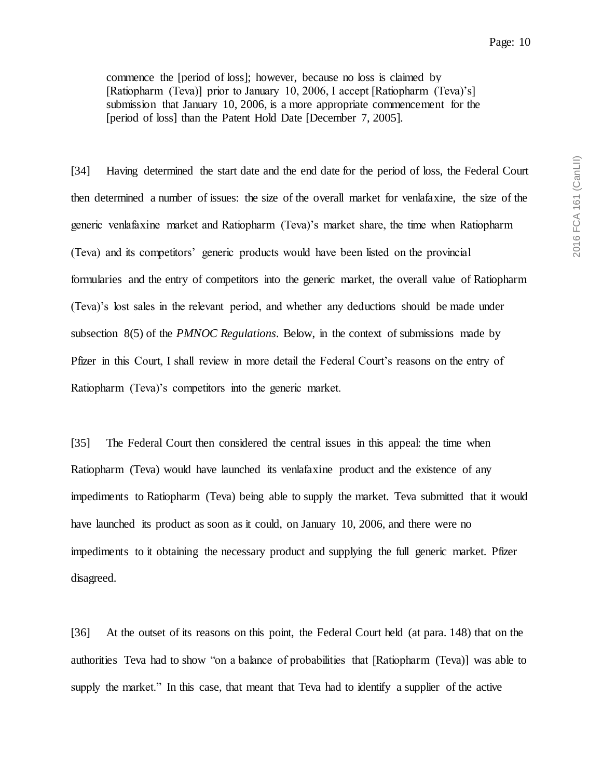commence the [period of loss]; however, because no loss is claimed by [Ratiopharm (Teva)] prior to January 10, 2006, I accept [Ratiopharm (Teva)'s] submission that January 10, 2006, is a more appropriate commencement for the [period of loss] than the Patent Hold Date [December 7, 2005].

[34] Having determined the start date and the end date for the period of loss, the Federal Court then determined a number of issues: the size of the overall market for venlafaxine, the size of the generic venlafaxine market and Ratiopharm (Teva)'s market share, the time when Ratiopharm (Teva) and its competitors' generic products would have been listed on the provincial formularies and the entry of competitors into the generic market, the overall value of Ratiopharm (Teva)'s lost sales in the relevant period, and whether any deductions should be made under subsection 8(5) of the *PMNOC Regulations*. Below, in the context of submissions made by Pfizer in this Court, I shall review in more detail the Federal Court's reasons on the entry of Ratiopharm (Teva)'s competitors into the generic market.

[35] The Federal Court then considered the central issues in this appeal: the time when Ratiopharm (Teva) would have launched its venlafaxine product and the existence of any impediments to Ratiopharm (Teva) being able to supply the market. Teva submitted that it would have launched its product as soon as it could, on January 10, 2006, and there were no impediments to it obtaining the necessary product and supplying the full generic market. Pfizer disagreed.

[36] At the outset of its reasons on this point, the Federal Court held (at para. 148) that on the authorities Teva had to show "on a balance of probabilities that [Ratiopharm (Teva)] was able to supply the market." In this case, that meant that Teva had to identify a supplier of the active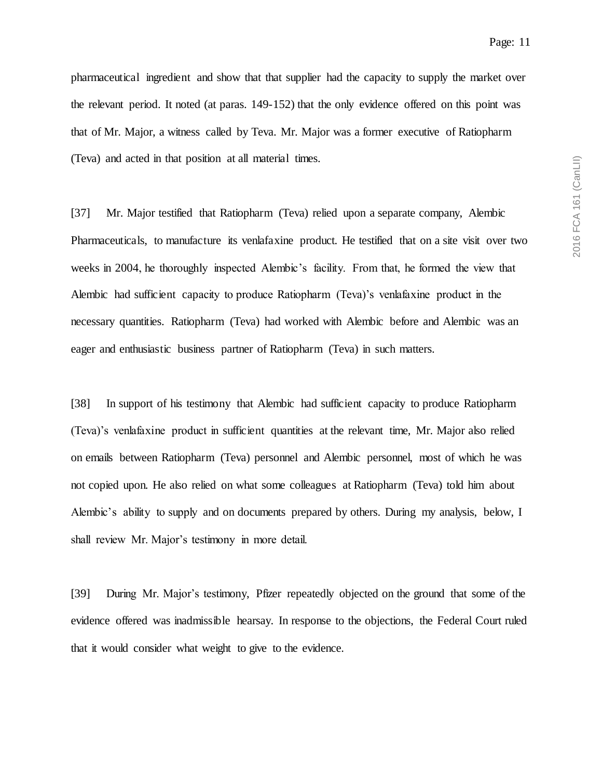pharmaceutical ingredient and show that that supplier had the capacity to supply the market over the relevant period. It noted (at paras. 149-152) that the only evidence offered on this point was that of Mr. Major, a witness called by Teva. Mr. Major was a former executive of Ratiopharm (Teva) and acted in that position at all material times.

[37] Mr. Major testified that Ratiopharm (Teva) relied upon a separate company, Alembic Pharmaceuticals, to manufacture its venlafaxine product. He testified that on a site visit over two weeks in 2004, he thoroughly inspected Alembic's facility. From that, he formed the view that Alembic had sufficient capacity to produce Ratiopharm (Teva)'s venlafaxine product in the necessary quantities. Ratiopharm (Teva) had worked with Alembic before and Alembic was an eager and enthusiastic business partner of Ratiopharm (Teva) in such matters.

[38] In support of his testimony that Alembic had sufficient capacity to produce Ratiopharm (Teva)'s venlafaxine product in sufficient quantities at the relevant time, Mr. Major also relied on emails between Ratiopharm (Teva) personnel and Alembic personnel, most of which he was not copied upon. He also relied on what some colleagues at Ratiopharm (Teva) told him about Alembic's ability to supply and on documents prepared by others. During my analysis, below, I shall review Mr. Major's testimony in more detail.

[39] During Mr. Major's testimony, Pfizer repeatedly objected on the ground that some of the evidence offered was inadmissible hearsay. In response to the objections, the Federal Court ruled that it would consider what weight to give to the evidence.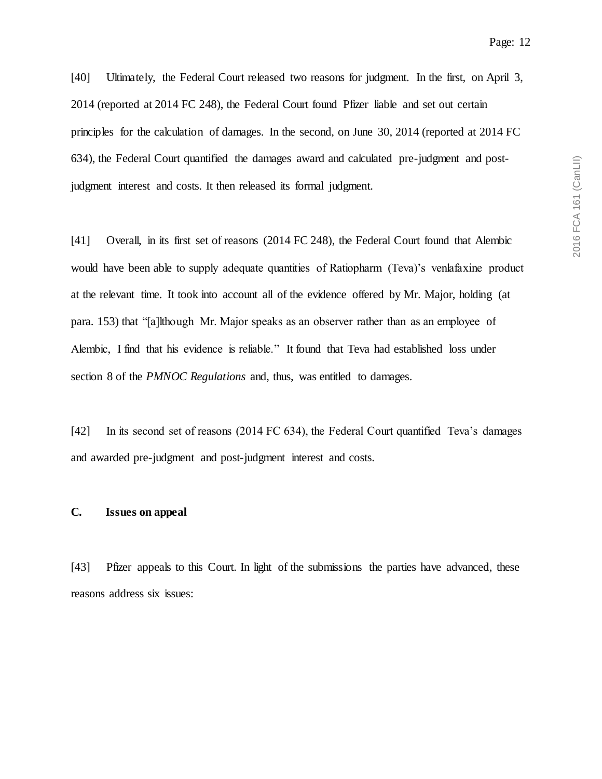[40] Ultimately, the Federal Court released two reasons for judgment. In the first, on April 3, 2014 (reported at 2014 FC 248), the Federal Court found Pfizer liable and set out certain principles for the calculation of damages. In the second, on June 30, 2014 (reported at 2014 FC 634), the Federal Court quantified the damages award and calculated pre-judgment and postjudgment interest and costs. It then released its formal judgment.

[41] Overall, in its first set of reasons (2014 FC 248), the Federal Court found that Alembic would have been able to supply adequate quantities of Ratiopharm (Teva)'s venlafaxine product at the relevant time. It took into account all of the evidence offered by Mr. Major, holding (at para. 153) that "[a]lthough Mr. Major speaks as an observer rather than as an employee of Alembic, I find that his evidence is reliable." It found that Teva had established loss under section 8 of the *PMNOC Regulations* and, thus, was entitled to damages.

[42] In its second set of reasons (2014 FC 634), the Federal Court quantified Teva's damages and awarded pre-judgment and post-judgment interest and costs.

#### **C. Issues on appeal**

[43] Pfizer appeals to this Court. In light of the submissions the parties have advanced, these reasons address six issues: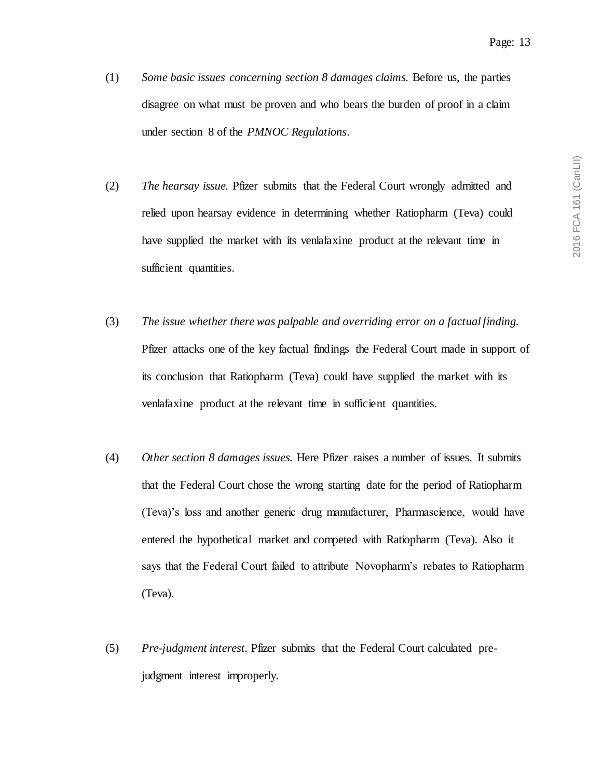- (1) *Some basic issues concerning section 8 damages claims.* Before us, the parties disagree on what must be proven and who bears the burden of proof in a claim under section 8 of the *PMNOC Regulations*.
- (2) *The hearsay issue.* Pfizer submits that the Federal Court wrongly admitted and relied upon hearsay evidence in determining whether Ratiopharm (Teva) could have supplied the market with its venlafaxine product at the relevant time in sufficient quantities.
- (3) *The issue whether there was palpable and overriding error on a factual finding.* Pfizer attacks one of the key factual findings the Federal Court made in support of its conclusion that Ratiopharm (Teva) could have supplied the market with its venlafaxine product at the relevant time in sufficient quantities.
- (4) *Other section 8 damages issues.* Here Pfizer raises a number of issues. It submits that the Federal Court chose the wrong starting date for the period of Ratiopharm (Teva)'s loss and another generic drug manufacturer, Pharmascience, would have entered the hypothetical market and competed with Ratiopharm (Teva). Also it says that the Federal Court failed to attribute Novopharm's rebates to Ratiopharm (Teva).
- (5) *Pre-judgment interest.* Pfizer submits that the Federal Court calculated prejudgment interest improperly.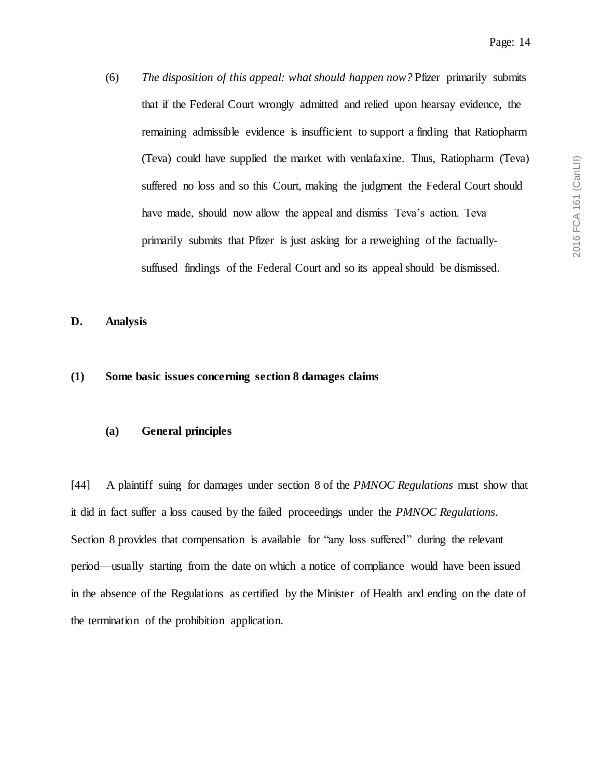(6) *The disposition of this appeal: what should happen now?* Pfizer primarily submits that if the Federal Court wrongly admitted and relied upon hearsay evidence, the remaining admissible evidence is insufficient to support a finding that Ratiopharm (Teva) could have supplied the market with venlafaxine. Thus, Ratiopharm (Teva) suffered no loss and so this Court, making the judgment the Federal Court should have made, should now allow the appeal and dismiss Teva's action. Teva primarily submits that Pfizer is just asking for a reweighing of the factuallysuffused findings of the Federal Court and so its appeal should be dismissed.

**D. Analysis**

## **(1) Some basic issues concerning section 8 damages claims**

### **(a) General principles**

[44] A plaintiff suing for damages under section 8 of the *PMNOC Regulations* must show that it did in fact suffer a loss caused by the failed proceedings under the *PMNOC Regulations*. Section 8 provides that compensation is available for "any loss suffered" during the relevant period—usually starting from the date on which a notice of compliance would have been issued in the absence of the Regulations as certified by the Minister of Health and ending on the date of the termination of the prohibition application.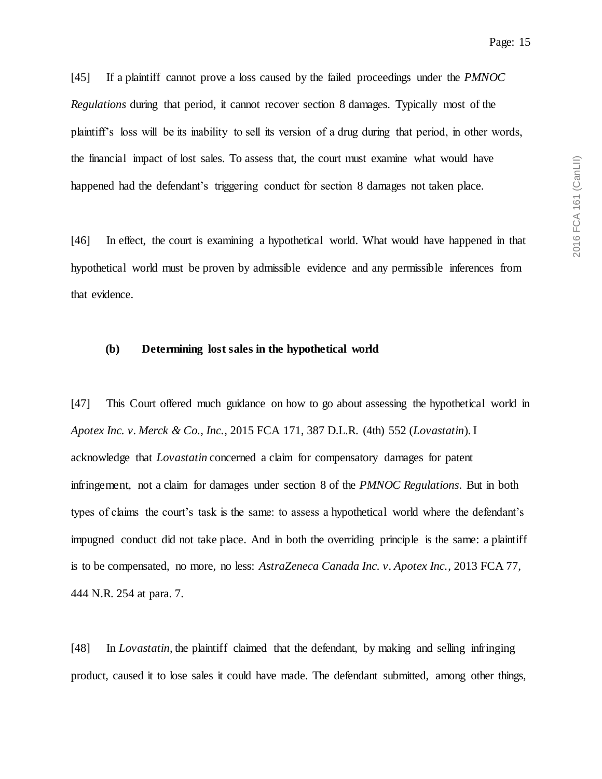[45] If a plaintiff cannot prove a loss caused by the failed proceedings under the *PMNOC Regulations* during that period, it cannot recover section 8 damages. Typically most of the plaintiff's loss will be its inability to sell its version of a drug during that period, in other words, the financial impact of lost sales. To assess that, the court must examine what would have happened had the defendant's triggering conduct for section 8 damages not taken place.

[46] In effect, the court is examining a hypothetical world. What would have happened in that hypothetical world must be proven by admissible evidence and any permissible inferences from that evidence.

#### **(b) Determining lost sales in the hypothetical world**

[47] This Court offered much guidance on how to go about assessing the hypothetical world in *Apotex Inc. v. Merck & Co., Inc.*, 2015 FCA 171, 387 D.L.R. (4th) 552 (*Lovastatin*). I acknowledge that *Lovastatin* concerned a claim for compensatory damages for patent infringement, not a claim for damages under section 8 of the *PMNOC Regulations*. But in both types of claims the court's task is the same: to assess a hypothetical world where the defendant's impugned conduct did not take place. And in both the overriding principle is the same: a plaintiff is to be compensated, no more, no less: *AstraZeneca Canada Inc. v. Apotex Inc.*, 2013 FCA 77, 444 N.R. 254 at para. 7.

[48] In *Lovastatin*, the plaintiff claimed that the defendant, by making and selling infringing product, caused it to lose sales it could have made. The defendant submitted, among other things,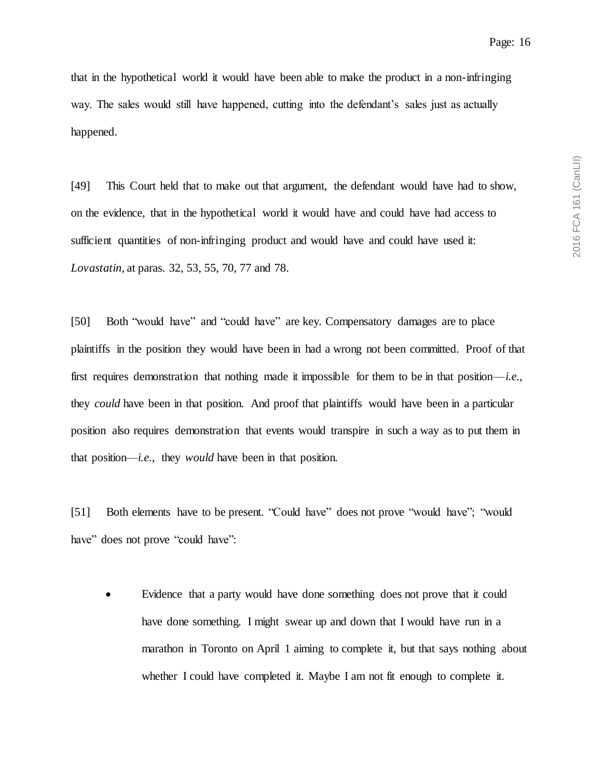that in the hypothetical world it would have been able to make the product in a non-infringing way. The sales would still have happened, cutting into the defendant's sales just as actually happened.

[49] This Court held that to make out that argument, the defendant would have had to show, on the evidence, that in the hypothetical world it would have and could have had access to sufficient quantities of non-infringing product and would have and could have used it: *Lovastatin*, at paras. 32, 53, 55, 70, 77 and 78.

[50] Both "would have" and "could have" are key. Compensatory damages are to place plaintiffs in the position they would have been in had a wrong not been committed. Proof of that first requires demonstration that nothing made it impossible for them to be in that position—*i.e.*, they *could* have been in that position. And proof that plaintiffs would have been in a particular position also requires demonstration that events would transpire in such a way as to put them in that position—*i.e.*, they *would* have been in that position.

[51] Both elements have to be present. "Could have" does not prove "would have"; "would have" does not prove "could have":

 Evidence that a party would have done something does not prove that it could have done something. I might swear up and down that I would have run in a marathon in Toronto on April 1 aiming to complete it, but that says nothing about whether I could have completed it. Maybe I am not fit enough to complete it.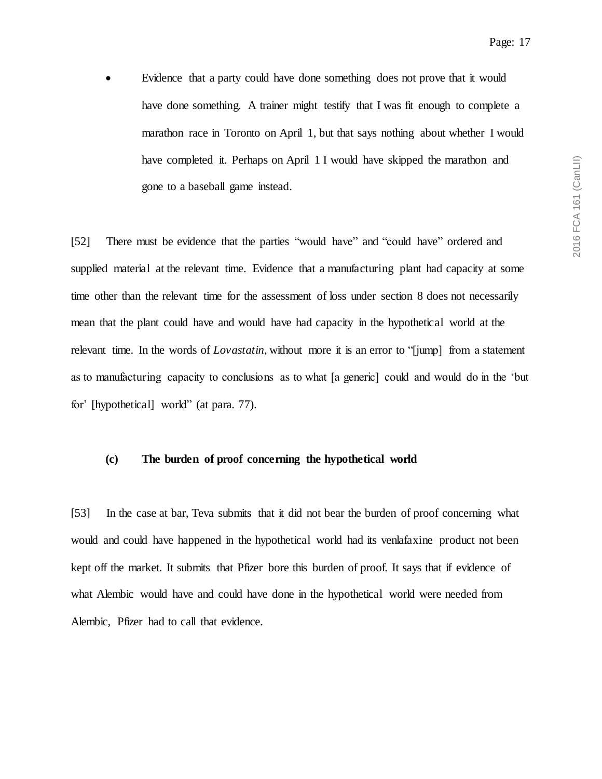Evidence that a party could have done something does not prove that it would have done something. A trainer might testify that I was fit enough to complete a marathon race in Toronto on April 1, but that says nothing about whether I would have completed it. Perhaps on April 1 I would have skipped the marathon and gone to a baseball game instead.

[52] There must be evidence that the parties "would have" and "could have" ordered and supplied material at the relevant time. Evidence that a manufacturing plant had capacity at some time other than the relevant time for the assessment of loss under section 8 does not necessarily mean that the plant could have and would have had capacity in the hypothetical world at the relevant time. In the words of *Lovastatin*, without more it is an error to "[jump] from a statement as to manufacturing capacity to conclusions as to what [a generic] could and would do in the 'but for' [hypothetical] world" (at para. 77).

## **(c) The burden of proof concerning the hypothetical world**

[53] In the case at bar, Teva submits that it did not bear the burden of proof concerning what would and could have happened in the hypothetical world had its venlafaxine product not been kept off the market. It submits that Pfizer bore this burden of proof. It says that if evidence of what Alembic would have and could have done in the hypothetical world were needed from Alembic, Pfizer had to call that evidence.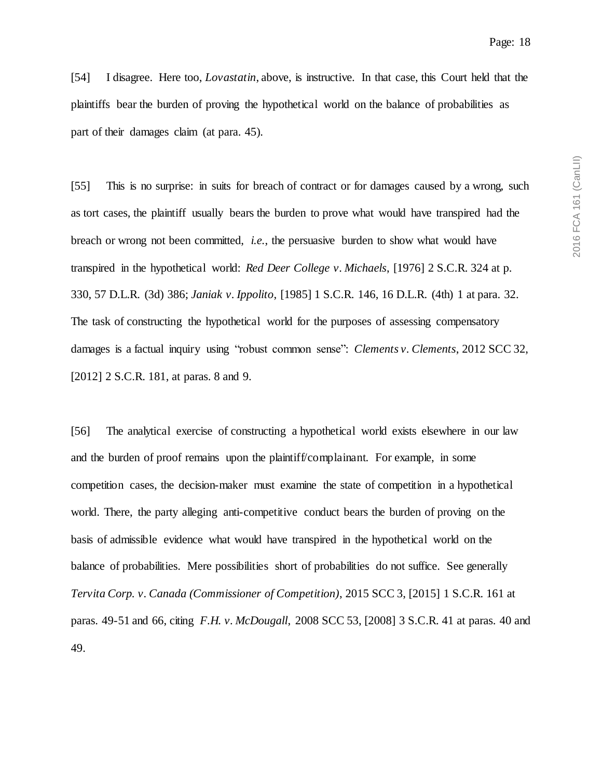[54] I disagree. Here too, *Lovastatin*, above, is instructive. In that case, this Court held that the plaintiffs bear the burden of proving the hypothetical world on the balance of probabilities as part of their damages claim (at para. 45).

[55] This is no surprise: in suits for breach of contract or for damages caused by a wrong, such as tort cases, the plaintiff usually bears the burden to prove what would have transpired had the breach or wrong not been committed, *i.e.*, the persuasive burden to show what would have transpired in the hypothetical world: *Red Deer College v. Michaels*, [1976] 2 S.C.R. 324 at p. 330, 57 D.L.R. (3d) 386; *Janiak v. Ippolito*, [1985] 1 S.C.R. 146, 16 D.L.R. (4th) 1 at para. 32. The task of constructing the hypothetical world for the purposes of assessing compensatory damages is a factual inquiry using "robust common sense": *Clements v. Clements*, 2012 SCC 32, [2012] 2 S.C.R. 181, at paras. 8 and 9.

[56] The analytical exercise of constructing a hypothetical world exists elsewhere in our law and the burden of proof remains upon the plaintiff/complainant. For example, in some competition cases, the decision-maker must examine the state of competition in a hypothetical world. There, the party alleging anti-competitive conduct bears the burden of proving on the basis of admissible evidence what would have transpired in the hypothetical world on the balance of probabilities. Mere possibilities short of probabilities do not suffice. See generally *Tervita Corp. v. Canada (Commissioner of Competition)*, 2015 SCC 3, [2015] 1 S.C.R. 161 at paras. 49-51 and 66, citing *F.H. v. McDougall*, 2008 SCC 53, [2008] 3 S.C.R. 41 at paras. 40 and 49.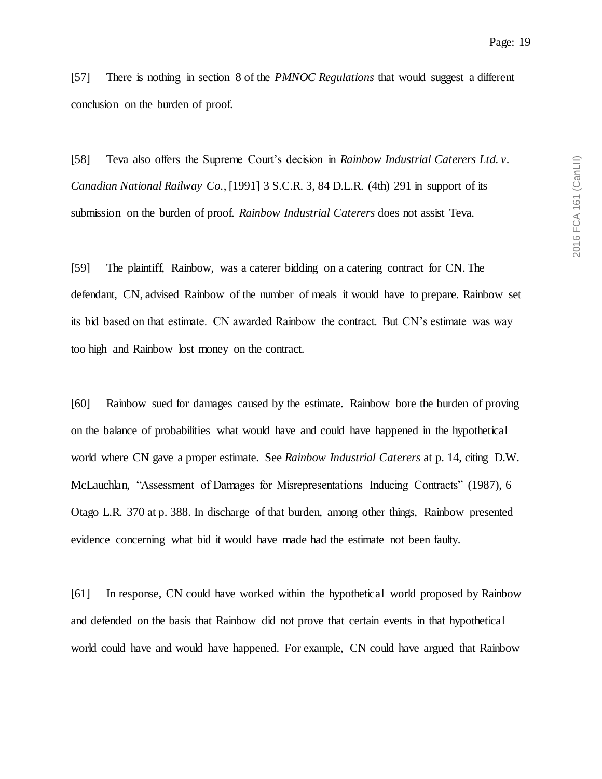[57] There is nothing in section 8 of the *PMNOC Regulations* that would suggest a different conclusion on the burden of proof.

[58] Teva also offers the Supreme Court's decision in *Rainbow Industrial Caterers Ltd. v. Canadian National Railway Co.*, [1991] 3 S.C.R. 3, 84 D.L.R. (4th) 291 in support of its submission on the burden of proof. *Rainbow Industrial Caterers* does not assist Teva.

[59] The plaintiff, Rainbow, was a caterer bidding on a catering contract for CN. The defendant, CN, advised Rainbow of the number of meals it would have to prepare. Rainbow set its bid based on that estimate. CN awarded Rainbow the contract. But CN's estimate was way too high and Rainbow lost money on the contract.

[60] Rainbow sued for damages caused by the estimate. Rainbow bore the burden of proving on the balance of probabilities what would have and could have happened in the hypothetical world where CN gave a proper estimate. See *Rainbow Industrial Caterers* at p. 14, citing D.W. McLauchlan, "Assessment of Damages for Misrepresentations Inducing Contracts" (1987), 6 Otago L.R. 370 at p. 388. In discharge of that burden, among other things, Rainbow presented evidence concerning what bid it would have made had the estimate not been faulty.

[61] In response, CN could have worked within the hypothetical world proposed by Rainbow and defended on the basis that Rainbow did not prove that certain events in that hypothetical world could have and would have happened. For example, CN could have argued that Rainbow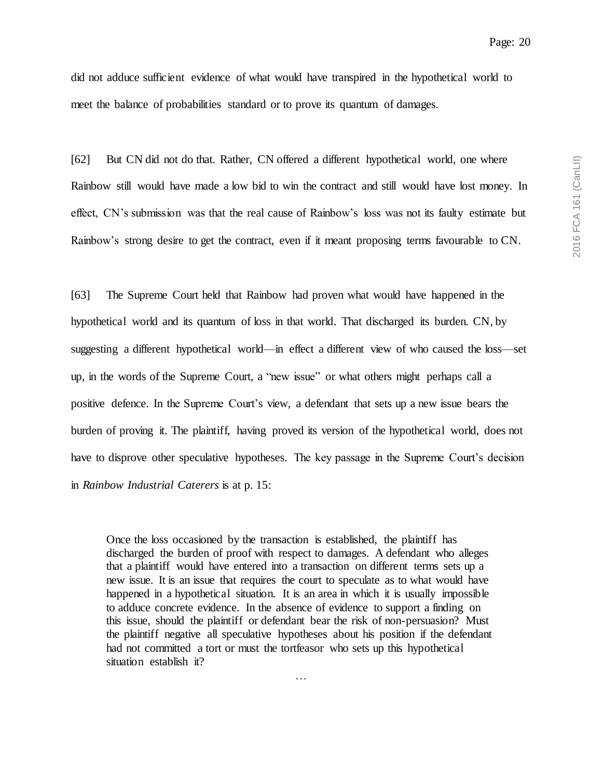2016 FCA 161 (CanLII) 2016 FCA 161 (CanLII)

did not adduce sufficient evidence of what would have transpired in the hypothetical world to meet the balance of probabilities standard or to prove its quantum of damages.

[62] But CN did not do that. Rather, CN offered a different hypothetical world, one where Rainbow still would have made a low bid to win the contract and still would have lost money. In effect, CN's submission was that the real cause of Rainbow's loss was not its faulty estimate but Rainbow's strong desire to get the contract, even if it meant proposing terms favourable to CN.

[63] The Supreme Court held that Rainbow had proven what would have happened in the hypothetical world and its quantum of loss in that world. That discharged its burden. CN, by suggesting a different hypothetical world—in effect a different view of who caused the loss—set up, in the words of the Supreme Court, a "new issue" or what others might perhaps call a positive defence. In the Supreme Court's view, a defendant that sets up a new issue bears the burden of proving it. The plaintiff, having proved its version of the hypothetical world, does not have to disprove other speculative hypotheses. The key passage in the Supreme Court's decision in *Rainbow Industrial Caterers* is at p. 15:

Once the loss occasioned by the transaction is established, the plaintiff has discharged the burden of proof with respect to damages. A defendant who alleges that a plaintiff would have entered into a transaction on different terms sets up a new issue. It is an issue that requires the court to speculate as to what would have happened in a hypothetical situation. It is an area in which it is usually impossible to adduce concrete evidence. In the absence of evidence to support a finding on this issue, should the plaintiff or defendant bear the risk of non-persuasion? Must the plaintiff negative all speculative hypotheses about his position if the defendant had not committed a tort or must the tortfeasor who sets up this hypothetical situation establish it?

…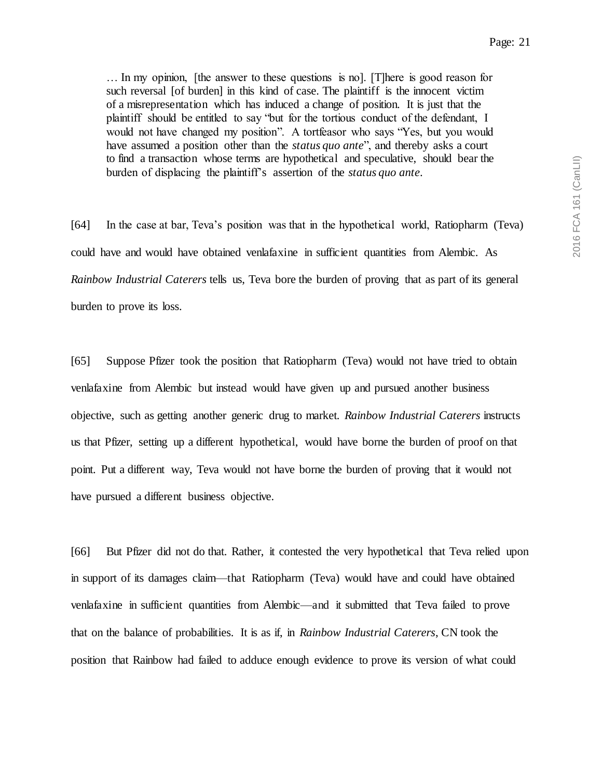… In my opinion, [the answer to these questions is no]. [T]here is good reason for such reversal [of burden] in this kind of case. The plaintiff is the innocent victim of a misrepresentation which has induced a change of position. It is just that the plaintiff should be entitled to say "but for the tortious conduct of the defendant, I would not have changed my position". A tortfeasor who says "Yes, but you would have assumed a position other than the *status quo ante*", and thereby asks a court to find a transaction whose terms are hypothetical and speculative, should bear the burden of displacing the plaintiff's assertion of the *status quo ante*.

[64] In the case at bar, Teva's position was that in the hypothetical world, Ratiopharm (Teva) could have and would have obtained venlafaxine in sufficient quantities from Alembic. As *Rainbow Industrial Caterers* tells us, Teva bore the burden of proving that as part of its general burden to prove its loss.

[65] Suppose Pfizer took the position that Ratiopharm (Teva) would not have tried to obtain venlafaxine from Alembic but instead would have given up and pursued another business objective, such as getting another generic drug to market. *Rainbow Industrial Caterers* instructs us that Pfizer, setting up a different hypothetical, would have borne the burden of proof on that point. Put a different way, Teva would not have borne the burden of proving that it would not have pursued a different business objective.

[66] But Pfizer did not do that. Rather, it contested the very hypothetical that Teva relied upon in support of its damages claim—that Ratiopharm (Teva) would have and could have obtained venlafaxine in sufficient quantities from Alembic—and it submitted that Teva failed to prove that on the balance of probabilities. It is as if, in *Rainbow Industrial Caterers*, CN took the position that Rainbow had failed to adduce enough evidence to prove its version of what could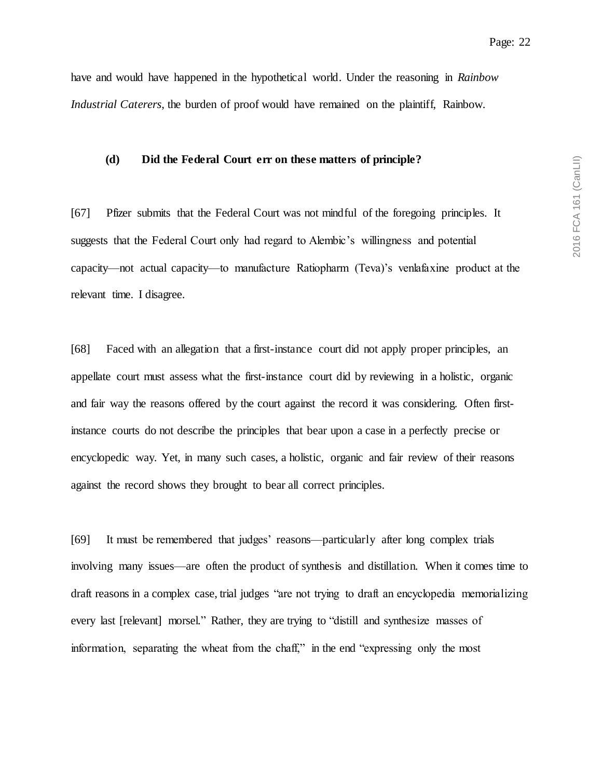have and would have happened in the hypothetical world. Under the reasoning in *Rainbow Industrial Caterers*, the burden of proof would have remained on the plaintiff, Rainbow.

#### **(d) Did the Federal Court err on these matters of principle?**

[67] Pfizer submits that the Federal Court was not mindful of the foregoing principles. It suggests that the Federal Court only had regard to Alembic's willingness and potential capacity—not actual capacity—to manufacture Ratiopharm (Teva)'s venlafaxine product at the relevant time. I disagree.

[68] Faced with an allegation that a first-instance court did not apply proper principles, an appellate court must assess what the first-instance court did by reviewing in a holistic, organic and fair way the reasons offered by the court against the record it was considering. Often firstinstance courts do not describe the principles that bear upon a case in a perfectly precise or encyclopedic way. Yet, in many such cases, a holistic, organic and fair review of their reasons against the record shows they brought to bear all correct principles.

[69] It must be remembered that judges' reasons—particularly after long complex trials involving many issues—are often the product of synthesis and distillation. When it comes time to draft reasons in a complex case, trial judges "are not trying to draft an encyclopedia memorializing every last [relevant] morsel." Rather, they are trying to "distill and synthesize masses of information, separating the wheat from the chaff," in the end "expressing only the most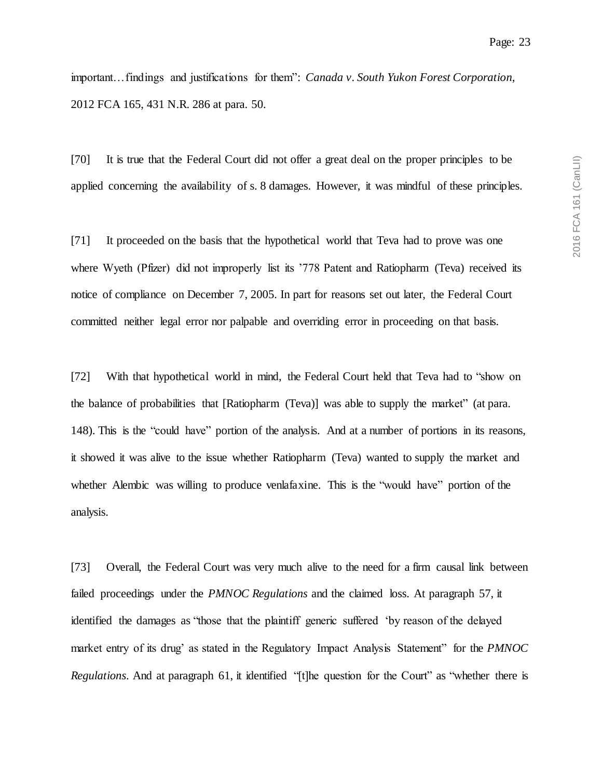important…findings and justifications for them": *Canada v. South Yukon Forest Corporation*, 2012 FCA 165, 431 N.R. 286 at para. 50.

[70] It is true that the Federal Court did not offer a great deal on the proper principles to be applied concerning the availability of s. 8 damages. However, it was mindful of these principles.

[71] It proceeded on the basis that the hypothetical world that Teva had to prove was one where Wyeth (Pfizer) did not improperly list its '778 Patent and Ratiopharm (Teva) received its notice of compliance on December 7, 2005. In part for reasons set out later, the Federal Court committed neither legal error nor palpable and overriding error in proceeding on that basis.

[72] With that hypothetical world in mind, the Federal Court held that Teva had to "show on the balance of probabilities that [Ratiopharm (Teva)] was able to supply the market" (at para. 148). This is the "could have" portion of the analysis. And at a number of portions in its reasons, it showed it was alive to the issue whether Ratiopharm (Teva) wanted to supply the market and whether Alembic was willing to produce venlafaxine. This is the "would have" portion of the analysis.

[73] Overall, the Federal Court was very much alive to the need for a firm causal link between failed proceedings under the *PMNOC Regulations* and the claimed loss. At paragraph 57, it identified the damages as "those that the plaintiff generic suffered 'by reason of the delayed market entry of its drug' as stated in the Regulatory Impact Analysis Statement" for the *PMNOC Regulations*. And at paragraph 61, it identified "[t]he question for the Court" as "whether there is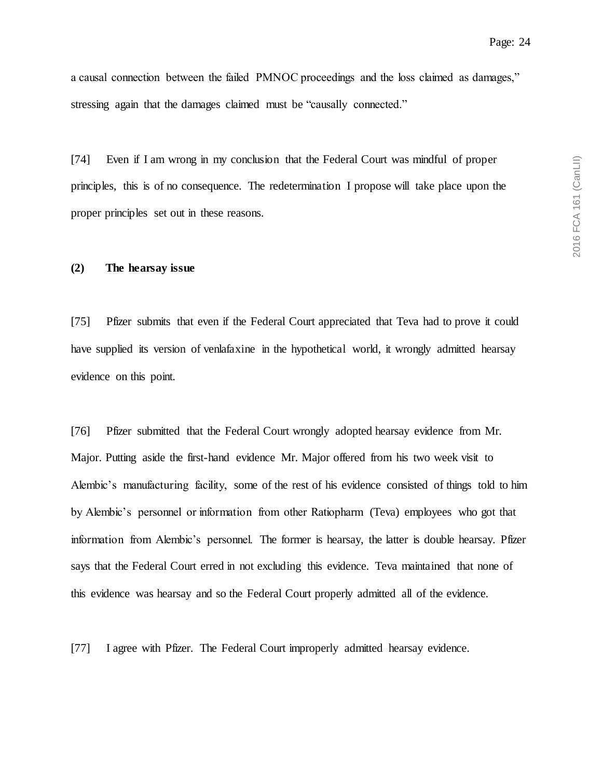a causal connection between the failed PMNOC proceedings and the loss claimed as damages," stressing again that the damages claimed must be "causally connected."

[74] Even if I am wrong in my conclusion that the Federal Court was mindful of proper principles, this is of no consequence. The redetermination I propose will take place upon the proper principles set out in these reasons.

## **(2) The hearsay issue**

[75] Pfizer submits that even if the Federal Court appreciated that Teva had to prove it could have supplied its version of venlafaxine in the hypothetical world, it wrongly admitted hearsay evidence on this point.

[76] Pfizer submitted that the Federal Court wrongly adopted hearsay evidence from Mr. Major. Putting aside the first-hand evidence Mr. Major offered from his two week visit to Alembic's manufacturing facility, some of the rest of his evidence consisted of things told to him by Alembic's personnel or information from other Ratiopharm (Teva) employees who got that information from Alembic's personnel. The former is hearsay, the latter is double hearsay. Pfizer says that the Federal Court erred in not excluding this evidence. Teva maintained that none of this evidence was hearsay and so the Federal Court properly admitted all of the evidence.

[77] I agree with Pfizer. The Federal Court improperly admitted hearsay evidence.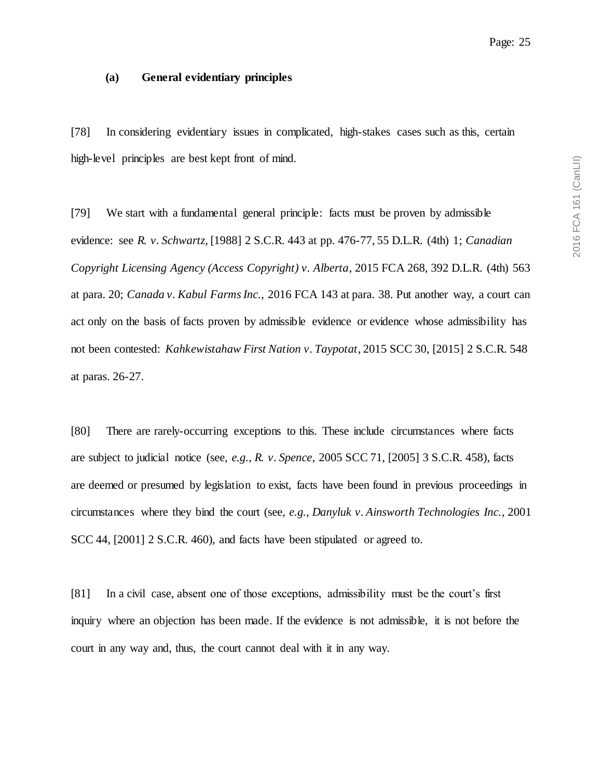#### **(a) General evidentiary principles**

[78] In considering evidentiary issues in complicated, high-stakes cases such as this, certain high-level principles are best kept front of mind.

[79] We start with a fundamental general principle: facts must be proven by admissible evidence: see *R. v. Schwartz*, [1988] 2 S.C.R. 443 at pp. 476-77, 55 D.L.R. (4th) 1; *Canadian Copyright Licensing Agency (Access Copyright) v. Alberta*, 2015 FCA 268, 392 D.L.R. (4th) 563 at para. 20; *Canada v. Kabul Farms Inc.*, 2016 FCA 143 at para. 38. Put another way, a court can act only on the basis of facts proven by admissible evidence or evidence whose admissibility has not been contested: *Kahkewistahaw First Nation v. Taypotat*, 2015 SCC 30, [2015] 2 S.C.R. 548 at paras. 26-27.

[80] There are rarely-occurring exceptions to this. These include circumstances where facts are subject to judicial notice (see, *e.g.*, *R. v. Spence*, 2005 SCC 71, [2005] 3 S.C.R. 458), facts are deemed or presumed by legislation to exist, facts have been found in previous proceedings in circumstances where they bind the court (see, *e.g.*, *Danyluk v. Ainsworth Technologies Inc.*, 2001 SCC 44, [2001] 2 S.C.R. 460), and facts have been stipulated or agreed to.

[81] In a civil case, absent one of those exceptions, admissibility must be the court's first inquiry where an objection has been made. If the evidence is not admissible, it is not before the court in any way and, thus, the court cannot deal with it in any way.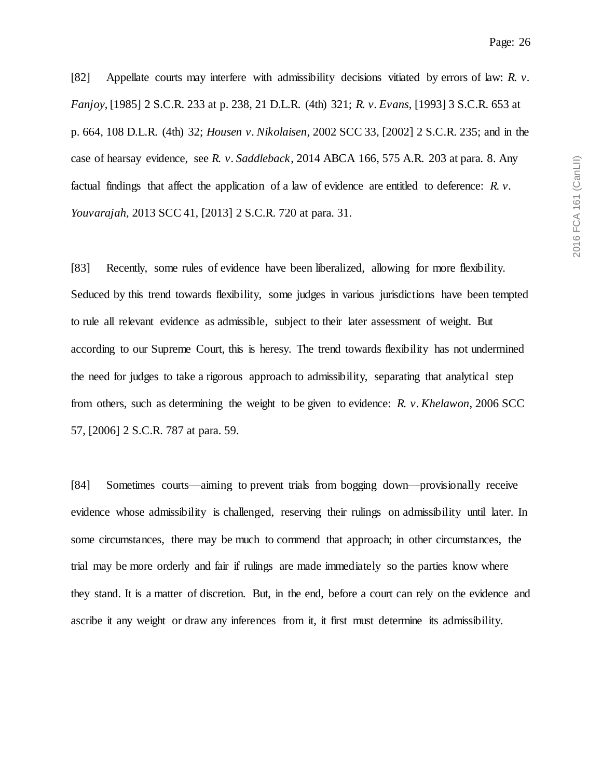[82] Appellate courts may interfere with admissibility decisions vitiated by errors of law: *R. v. Fanjoy*, [1985] 2 S.C.R. 233 at p. 238, 21 D.L.R. (4th) 321; *R. v. Evans*, [1993] 3 S.C.R. 653 at p. 664, 108 D.L.R. (4th) 32; *Housen v. Nikolaisen*, 2002 SCC 33, [2002] 2 S.C.R. 235; and in the case of hearsay evidence, see *R. v. Saddleback*, 2014 ABCA 166, 575 A.R. 203 at para. 8. Any factual findings that affect the application of a law of evidence are entitled to deference: *R. v. Youvarajah*, 2013 SCC 41, [2013] 2 S.C.R. 720 at para. 31.

[83] Recently, some rules of evidence have been liberalized, allowing for more flexibility. Seduced by this trend towards flexibility, some judges in various jurisdictions have been tempted to rule all relevant evidence as admissible, subject to their later assessment of weight. But according to our Supreme Court, this is heresy. The trend towards flexibility has not undermined the need for judges to take a rigorous approach to admissibility, separating that analytical step from others, such as determining the weight to be given to evidence: *R. v. Khelawon*, 2006 SCC 57, [2006] 2 S.C.R. 787 at para. 59.

[84] Sometimes courts—aiming to prevent trials from bogging down—provisionally receive evidence whose admissibility is challenged, reserving their rulings on admissibility until later. In some circumstances, there may be much to commend that approach; in other circumstances, the trial may be more orderly and fair if rulings are made immediately so the parties know where they stand. It is a matter of discretion. But, in the end, before a court can rely on the evidence and ascribe it any weight or draw any inferences from it, it first must determine its admissibility.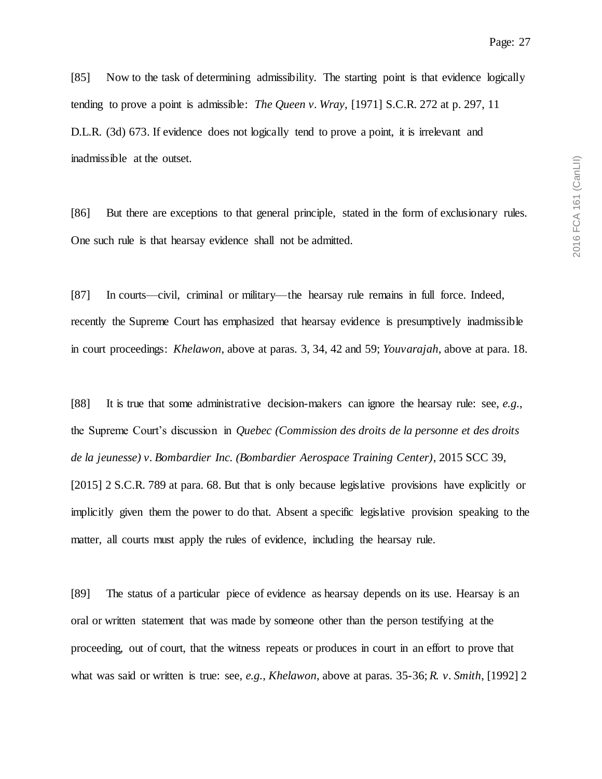[85] Now to the task of determining admissibility. The starting point is that evidence logically tending to prove a point is admissible: *The Queen v. Wray*, [1971] S.C.R. 272 at p. 297, 11 D.L.R. (3d) 673. If evidence does not logically tend to prove a point, it is irrelevant and inadmissible at the outset.

[86] But there are exceptions to that general principle, stated in the form of exclusionary rules. One such rule is that hearsay evidence shall not be admitted.

[87] In courts—civil, criminal or military—the hearsay rule remains in full force. Indeed, recently the Supreme Court has emphasized that hearsay evidence is presumptively inadmissible in court proceedings: *Khelawon*, above at paras. 3, 34, 42 and 59; *Youvarajah*, above at para. 18.

[88] It is true that some administrative decision-makers can ignore the hearsay rule: see, *e.g.*, the Supreme Court's discussion in *Quebec (Commission des droits de la personne et des droits de la jeunesse) v. Bombardier Inc. (Bombardier Aerospace Training Center)*, 2015 SCC 39, [2015] 2 S.C.R. 789 at para. 68. But that is only because legislative provisions have explicitly or implicitly given them the power to do that. Absent a specific legislative provision speaking to the matter, all courts must apply the rules of evidence, including the hearsay rule.

[89] The status of a particular piece of evidence as hearsay depends on its use. Hearsay is an oral or written statement that was made by someone other than the person testifying at the proceeding, out of court, that the witness repeats or produces in court in an effort to prove that what was said or written is true: see, *e.g.*, *Khelawon*, above at paras. 35-36; *R. v. Smith*, [1992] 2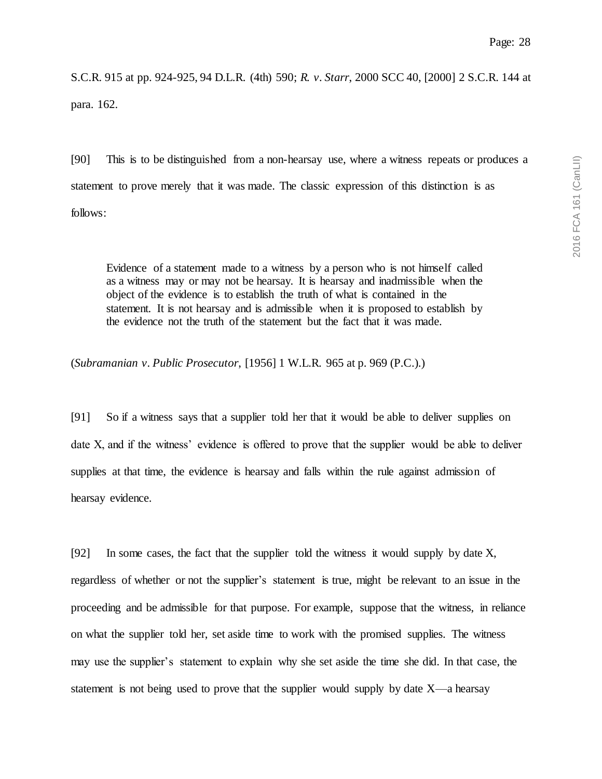S.C.R. 915 at pp. 924-925, 94 D.L.R. (4th) 590; *R. v. Starr*, 2000 SCC 40, [2000] 2 S.C.R. 144 at para. 162.

[90] This is to be distinguished from a non-hearsay use, where a witness repeats or produces a statement to prove merely that it was made. The classic expression of this distinction is as follows:

Evidence of a statement made to a witness by a person who is not himself called as a witness may or may not be hearsay. It is hearsay and inadmissible when the object of the evidence is to establish the truth of what is contained in the statement. It is not hearsay and is admissible when it is proposed to establish by the evidence not the truth of the statement but the fact that it was made.

(*Subramanian v. Public Prosecutor*, [1956] 1 W.L.R. 965 at p. 969 (P.C.).)

[91] So if a witness says that a supplier told her that it would be able to deliver supplies on date X, and if the witness' evidence is offered to prove that the supplier would be able to deliver supplies at that time, the evidence is hearsay and falls within the rule against admission of hearsay evidence.

[92] In some cases, the fact that the supplier told the witness it would supply by date X, regardless of whether or not the supplier's statement is true, might be relevant to an issue in the proceeding and be admissible for that purpose. For example, suppose that the witness, in reliance on what the supplier told her, set aside time to work with the promised supplies. The witness may use the supplier's statement to explain why she set aside the time she did. In that case, the statement is not being used to prove that the supplier would supply by date  $X$ —a hearsay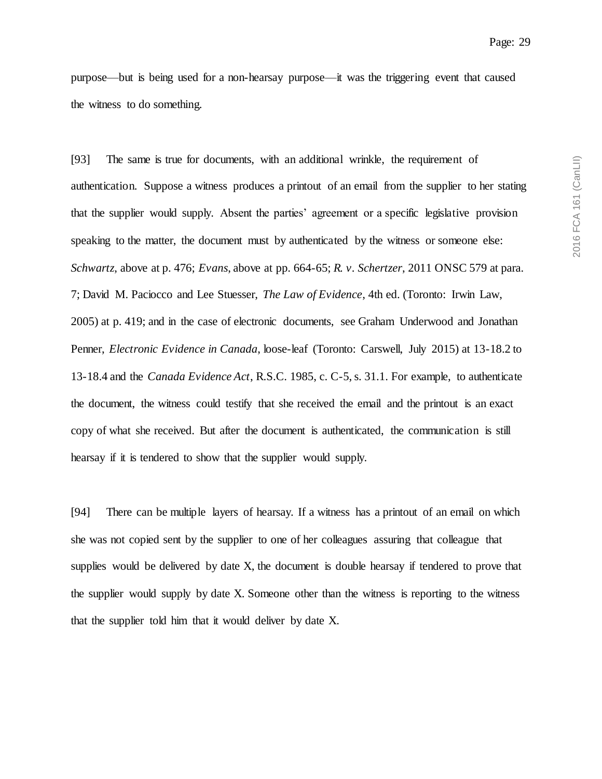purpose—but is being used for a non-hearsay purpose—it was the triggering event that caused the witness to do something.

[93] The same is true for documents, with an additional wrinkle, the requirement of authentication. Suppose a witness produces a printout of an email from the supplier to her stating that the supplier would supply. Absent the parties' agreement or a specific legislative provision speaking to the matter, the document must by authenticated by the witness or someone else: *Schwartz*, above at p. 476; *Evans*, above at pp. 664-65; *R. v. Schertzer*, 2011 ONSC 579 at para. 7; David M. Paciocco and Lee Stuesser, *The Law of Evidence*, 4th ed. (Toronto: Irwin Law, 2005) at p. 419; and in the case of electronic documents, see Graham Underwood and Jonathan Penner, *Electronic Evidence in Canada*, loose-leaf (Toronto: Carswell, July 2015) at 13-18.2 to 13-18.4 and the *Canada Evidence Act*, R.S.C. 1985, c. C-5, s. 31.1. For example, to authenticate the document, the witness could testify that she received the email and the printout is an exact copy of what she received. But after the document is authenticated, the communication is still hearsay if it is tendered to show that the supplier would supply.

[94] There can be multiple layers of hearsay. If a witness has a printout of an email on which she was not copied sent by the supplier to one of her colleagues assuring that colleague that supplies would be delivered by date X, the document is double hearsay if tendered to prove that the supplier would supply by date X. Someone other than the witness is reporting to the witness that the supplier told him that it would deliver by date X.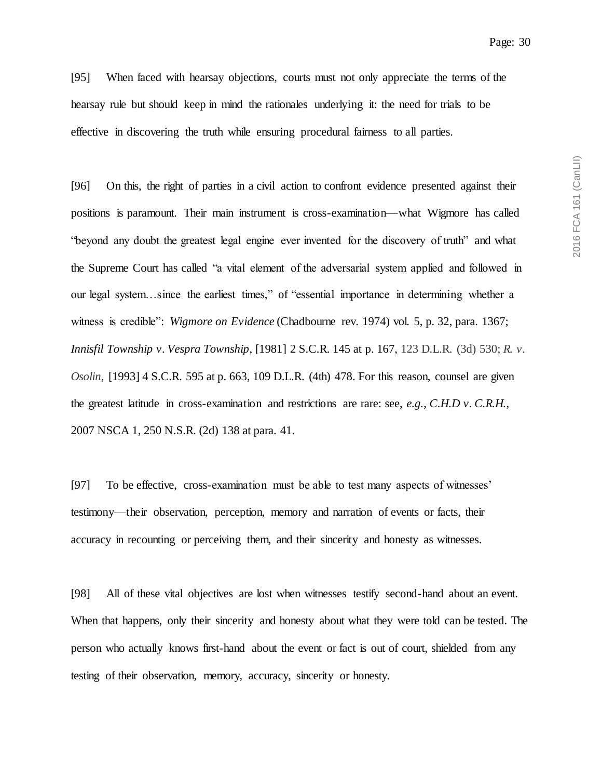[95] When faced with hearsay objections, courts must not only appreciate the terms of the hearsay rule but should keep in mind the rationales underlying it: the need for trials to be effective in discovering the truth while ensuring procedural fairness to all parties.

[96] On this, the right of parties in a civil action to confront evidence presented against their positions is paramount. Their main instrument is cross-examination—what Wigmore has called "beyond any doubt the greatest legal engine ever invented for the discovery of truth" and what the Supreme Court has called "a vital element of the adversarial system applied and followed in our legal system…since the earliest times," of "essential importance in determining whether a witness is credible": *Wigmore on Evidence* (Chadbourne rev. 1974) vol. 5, p. 32, para. 1367; *Innisfil Township v. Vespra Township*, [1981] 2 S.C.R. 145 at p. 167, 123 D.L.R. (3d) 530; *R. v. Osolin*, [1993] 4 S.C.R. 595 at p. 663, 109 D.L.R. (4th) 478. For this reason, counsel are given the greatest latitude in cross-examination and restrictions are rare: see, *e.g.*, *C.H.D v. C.R.H.*, 2007 NSCA 1, 250 N.S.R. (2d) 138 at para. 41.

[97] To be effective, cross-examination must be able to test many aspects of witnesses' testimony—their observation, perception, memory and narration of events or facts, their accuracy in recounting or perceiving them, and their sincerity and honesty as witnesses.

[98] All of these vital objectives are lost when witnesses testify second-hand about an event. When that happens, only their sincerity and honesty about what they were told can be tested. The person who actually knows first-hand about the event or fact is out of court, shielded from any testing of their observation, memory, accuracy, sincerity or honesty.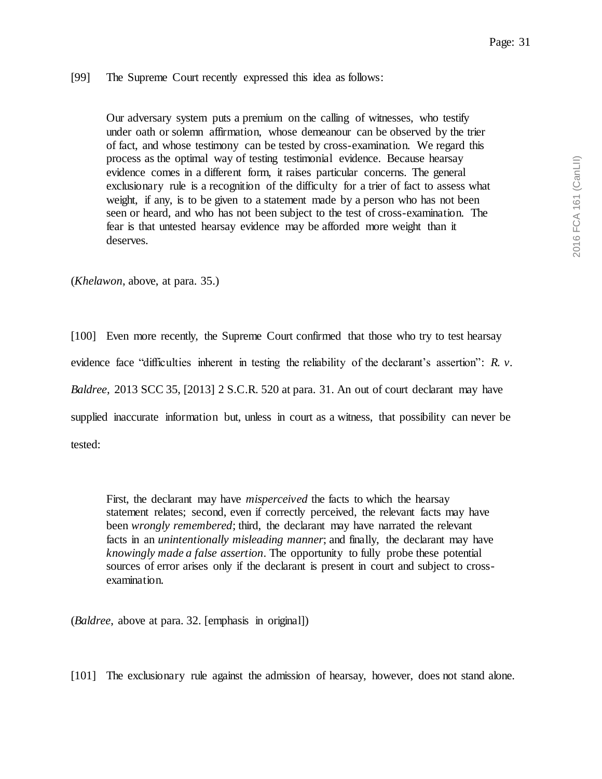## [99] The Supreme Court recently expressed this idea as follows:

Our adversary system puts a premium on the calling of witnesses, who testify under oath or solemn affirmation, whose demeanour can be observed by the trier of fact, and whose testimony can be tested by cross-examination. We regard this process as the optimal way of testing testimonial evidence. Because hearsay evidence comes in a different form, it raises particular concerns. The general exclusionary rule is a recognition of the difficulty for a trier of fact to assess what weight, if any, is to be given to a statement made by a person who has not been seen or heard, and who has not been subject to the test of cross-examination. The fear is that untested hearsay evidence may be afforded more weight than it deserves.

(*Khelawon*, above, at para. 35.)

[100] Even more recently, the Supreme Court confirmed that those who try to test hearsay evidence face "difficulties inherent in testing the reliability of the declarant's assertion": *R. v. Baldree*, 2013 SCC 35, [2013] 2 S.C.R. 520 at para. 31. An out of court declarant may have supplied inaccurate information but, unless in court as a witness, that possibility can never be tested:

First, the declarant may have *misperceived* the facts to which the hearsay statement relates; second, even if correctly perceived, the relevant facts may have been *wrongly remembered*; third, the declarant may have narrated the relevant facts in an *unintentionally misleading manner*; and finally, the declarant may have *knowingly made a false assertion*. The opportunity to fully probe these potential sources of error arises only if the declarant is present in court and subject to crossexamination.

(*Baldree*, above at para. 32. [emphasis in original])

[101] The exclusionary rule against the admission of hearsay, however, does not stand alone.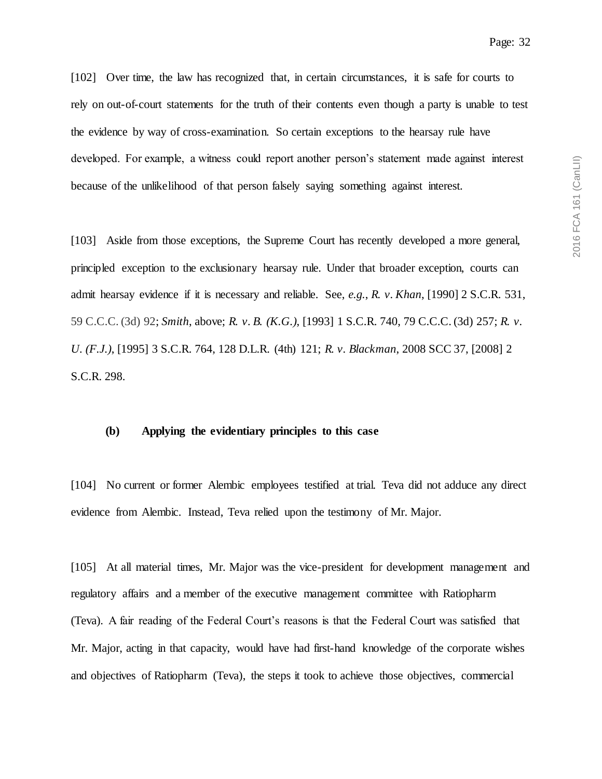[102] Over time, the law has recognized that, in certain circumstances, it is safe for courts to rely on out-of-court statements for the truth of their contents even though a party is unable to test the evidence by way of cross-examination. So certain exceptions to the hearsay rule have developed. For example, a witness could report another person's statement made against interest because of the unlikelihood of that person falsely saying something against interest.

[103] Aside from those exceptions, the Supreme Court has recently developed a more general, principled exception to the exclusionary hearsay rule. Under that broader exception, courts can admit hearsay evidence if it is necessary and reliable. See, *e.g.*, *R. v. Khan*, [1990] 2 S.C.R. 531, 59 C.C.C. (3d) 92; *Smith*, above; *R. v. B. (K.G.)*, [1993] 1 S.C.R. 740, 79 C.C.C. (3d) 257; *R. v. U. (F.J.)*, [1995] 3 S.C.R. 764, 128 D.L.R. (4th) 121; *R. v. Blackman*, 2008 SCC 37, [2008] 2 S.C.R. 298.

### **(b) Applying the evidentiary principles to this case**

[104] No current or former Alembic employees testified at trial. Teva did not adduce any direct evidence from Alembic. Instead, Teva relied upon the testimony of Mr. Major.

[105] At all material times, Mr. Major was the vice-president for development management and regulatory affairs and a member of the executive management committee with Ratiopharm (Teva). A fair reading of the Federal Court's reasons is that the Federal Court was satisfied that Mr. Major, acting in that capacity, would have had first-hand knowledge of the corporate wishes and objectives of Ratiopharm (Teva), the steps it took to achieve those objectives, commercial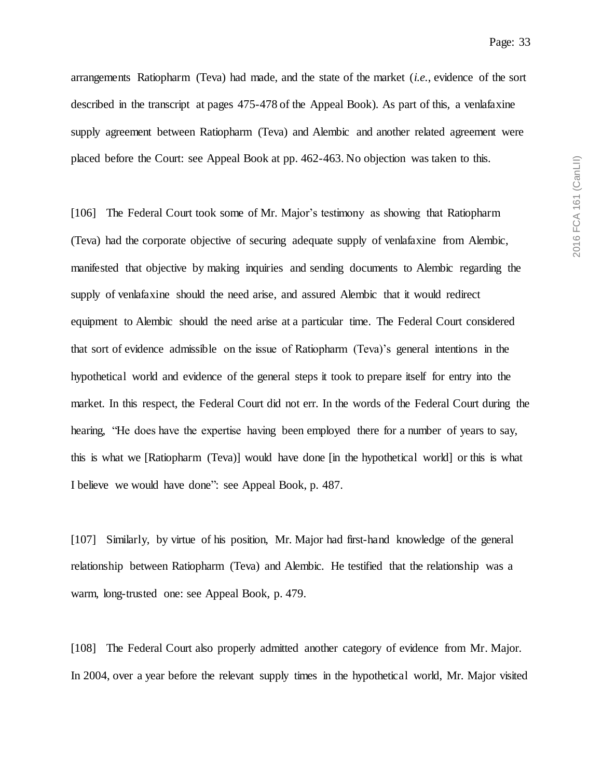2016 FCA 161 (CanLII) 2016 FCA 161 (CanLII)

Page: 33

arrangements Ratiopharm (Teva) had made, and the state of the market (*i.e.*, evidence of the sort described in the transcript at pages 475-478 of the Appeal Book). As part of this, a venlafaxine supply agreement between Ratiopharm (Teva) and Alembic and another related agreement were placed before the Court: see Appeal Book at pp. 462-463. No objection was taken to this.

[106] The Federal Court took some of Mr. Major's testimony as showing that Ratiopharm (Teva) had the corporate objective of securing adequate supply of venlafaxine from Alembic, manifested that objective by making inquiries and sending documents to Alembic regarding the supply of venlafaxine should the need arise, and assured Alembic that it would redirect equipment to Alembic should the need arise at a particular time. The Federal Court considered that sort of evidence admissible on the issue of Ratiopharm (Teva)'s general intentions in the hypothetical world and evidence of the general steps it took to prepare itself for entry into the market. In this respect, the Federal Court did not err. In the words of the Federal Court during the hearing, "He does have the expertise having been employed there for a number of years to say, this is what we [Ratiopharm (Teva)] would have done [in the hypothetical world] or this is what I believe we would have done": see Appeal Book, p. 487.

[107] Similarly, by virtue of his position, Mr. Major had first-hand knowledge of the general relationship between Ratiopharm (Teva) and Alembic. He testified that the relationship was a warm, long-trusted one: see Appeal Book, p. 479.

[108] The Federal Court also properly admitted another category of evidence from Mr. Major. In 2004, over a year before the relevant supply times in the hypothetical world, Mr. Major visited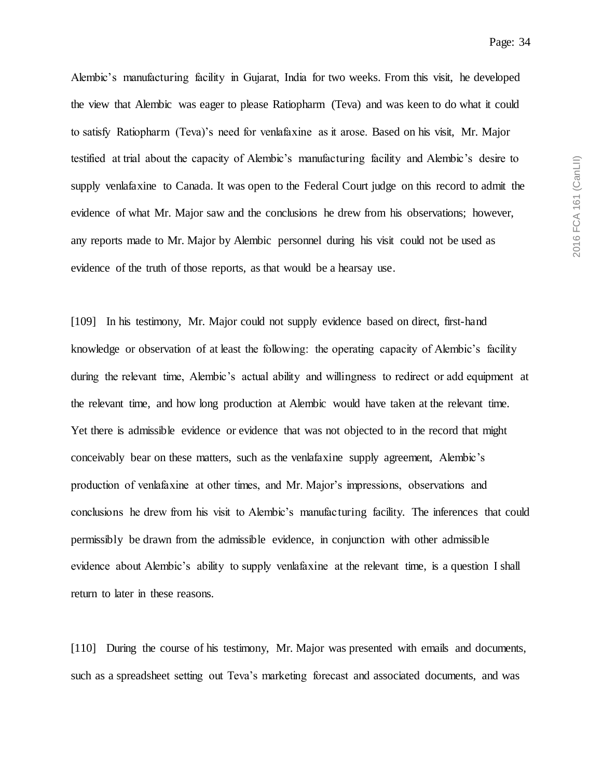Alembic's manufacturing facility in Gujarat, India for two weeks. From this visit, he developed the view that Alembic was eager to please Ratiopharm (Teva) and was keen to do what it could to satisfy Ratiopharm (Teva)'s need for venlafaxine as it arose. Based on his visit, Mr. Major testified at trial about the capacity of Alembic's manufacturing facility and Alembic's desire to supply venlafaxine to Canada. It was open to the Federal Court judge on this record to admit the evidence of what Mr. Major saw and the conclusions he drew from his observations; however, any reports made to Mr. Major by Alembic personnel during his visit could not be used as evidence of the truth of those reports, as that would be a hearsay use.

[109] In his testimony, Mr. Major could not supply evidence based on direct, first-hand knowledge or observation of at least the following: the operating capacity of Alembic's facility during the relevant time, Alembic's actual ability and willingness to redirect or add equipment at the relevant time, and how long production at Alembic would have taken at the relevant time. Yet there is admissible evidence or evidence that was not objected to in the record that might conceivably bear on these matters, such as the venlafaxine supply agreement, Alembic's production of venlafaxine at other times, and Mr. Major's impressions, observations and conclusions he drew from his visit to Alembic's manufacturing facility. The inferences that could permissibly be drawn from the admissible evidence, in conjunction with other admissible evidence about Alembic's ability to supply venlafaxine at the relevant time, is a question I shall return to later in these reasons.

[110] During the course of his testimony, Mr. Major was presented with emails and documents, such as a spreadsheet setting out Teva's marketing forecast and associated documents, and was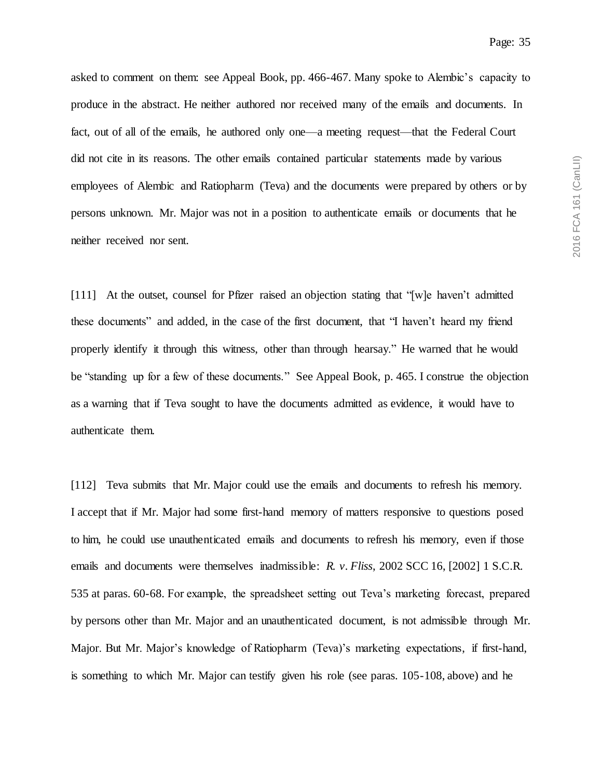asked to comment on them: see Appeal Book, pp. 466-467. Many spoke to Alembic's capacity to produce in the abstract. He neither authored nor received many of the emails and documents. In fact, out of all of the emails, he authored only one—a meeting request—that the Federal Court did not cite in its reasons. The other emails contained particular statements made by various employees of Alembic and Ratiopharm (Teva) and the documents were prepared by others or by persons unknown. Mr. Major was not in a position to authenticate emails or documents that he neither received nor sent.

[111] At the outset, counsel for Pfizer raised an objection stating that "[w]e haven't admitted these documents" and added, in the case of the first document, that "I haven't heard my friend properly identify it through this witness, other than through hearsay." He warned that he would be "standing up for a few of these documents." See Appeal Book, p. 465. I construe the objection as a warning that if Teva sought to have the documents admitted as evidence, it would have to authenticate them.

[112] Teva submits that Mr. Major could use the emails and documents to refresh his memory. I accept that if Mr. Major had some first-hand memory of matters responsive to questions posed to him, he could use unauthenticated emails and documents to refresh his memory, even if those emails and documents were themselves inadmissible: *R. v. Fliss*, 2002 SCC 16, [2002] 1 S.C.R. 535 at paras. 60-68. For example, the spreadsheet setting out Teva's marketing forecast, prepared by persons other than Mr. Major and an unauthenticated document, is not admissible through Mr. Major. But Mr. Major's knowledge of Ratiopharm (Teva)'s marketing expectations, if first-hand, is something to which Mr. Major can testify given his role (see paras. 105-108, above) and he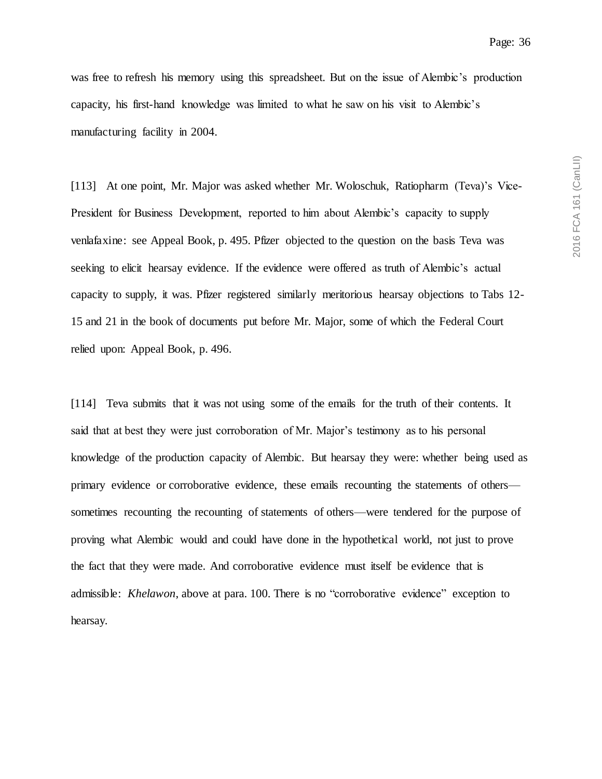2016 FCA 161 (CanLII) 2016 FCA 161 (CanLII)

was free to refresh his memory using this spreadsheet. But on the issue of Alembic's production capacity, his first-hand knowledge was limited to what he saw on his visit to Alembic's manufacturing facility in 2004.

[113] At one point, Mr. Major was asked whether Mr. Woloschuk, Ratiopharm (Teva)'s Vice-President for Business Development, reported to him about Alembic's capacity to supply venlafaxine: see Appeal Book, p. 495. Pfizer objected to the question on the basis Teva was seeking to elicit hearsay evidence. If the evidence were offered as truth of Alembic's actual capacity to supply, it was. Pfizer registered similarly meritorious hearsay objections to Tabs 12- 15 and 21 in the book of documents put before Mr. Major, some of which the Federal Court relied upon: Appeal Book, p. 496.

[114] Teva submits that it was not using some of the emails for the truth of their contents. It said that at best they were just corroboration of Mr. Major's testimony as to his personal knowledge of the production capacity of Alembic. But hearsay they were: whether being used as primary evidence or corroborative evidence, these emails recounting the statements of others sometimes recounting the recounting of statements of others—were tendered for the purpose of proving what Alembic would and could have done in the hypothetical world, not just to prove the fact that they were made. And corroborative evidence must itself be evidence that is admissible: *Khelawon*, above at para. 100. There is no "corroborative evidence" exception to hearsay.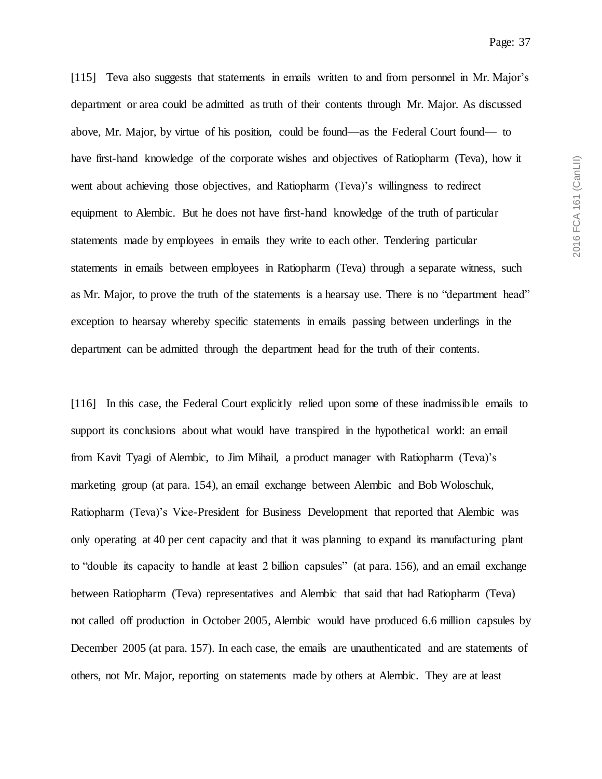[115] Teva also suggests that statements in emails written to and from personnel in Mr. Major's department or area could be admitted as truth of their contents through Mr. Major. As discussed above, Mr. Major, by virtue of his position, could be found—as the Federal Court found— to have first-hand knowledge of the corporate wishes and objectives of Ratiopharm (Teva), how it went about achieving those objectives, and Ratiopharm (Teva)'s willingness to redirect equipment to Alembic. But he does not have first-hand knowledge of the truth of particular statements made by employees in emails they write to each other. Tendering particular statements in emails between employees in Ratiopharm (Teva) through a separate witness, such as Mr. Major, to prove the truth of the statements is a hearsay use. There is no "department head" exception to hearsay whereby specific statements in emails passing between underlings in the department can be admitted through the department head for the truth of their contents.

[116] In this case, the Federal Court explicitly relied upon some of these inadmissible emails to support its conclusions about what would have transpired in the hypothetical world: an email from Kavit Tyagi of Alembic, to Jim Mihail, a product manager with Ratiopharm (Teva)'s marketing group (at para. 154), an email exchange between Alembic and Bob Woloschuk, Ratiopharm (Teva)'s Vice-President for Business Development that reported that Alembic was only operating at 40 per cent capacity and that it was planning to expand its manufacturing plant to "double its capacity to handle at least 2 billion capsules" (at para. 156), and an email exchange between Ratiopharm (Teva) representatives and Alembic that said that had Ratiopharm (Teva) not called off production in October 2005, Alembic would have produced 6.6 million capsules by December 2005 (at para. 157). In each case, the emails are unauthenticated and are statements of others, not Mr. Major, reporting on statements made by others at Alembic. They are at least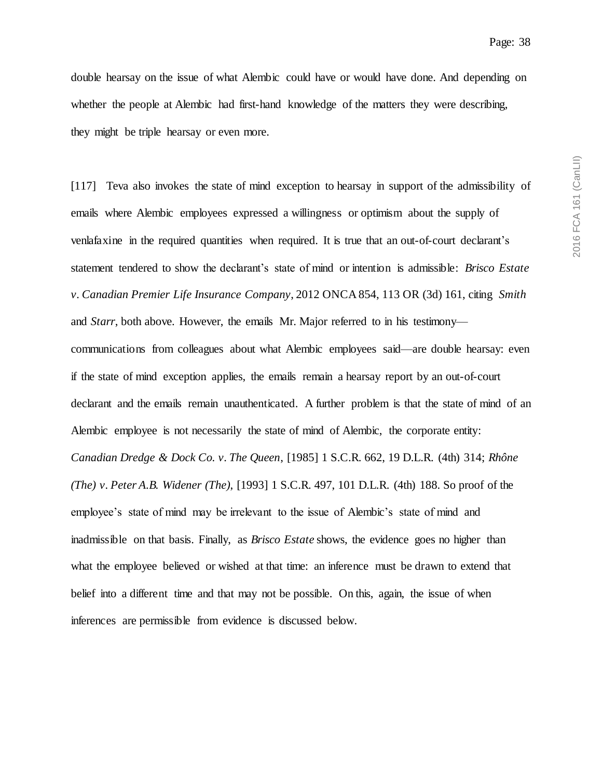double hearsay on the issue of what Alembic could have or would have done. And depending on whether the people at Alembic had first-hand knowledge of the matters they were describing, they might be triple hearsay or even more.

[117] Teva also invokes the state of mind exception to hearsay in support of the admissibility of emails where Alembic employees expressed a willingness or optimism about the supply of venlafaxine in the required quantities when required. It is true that an out-of-court declarant's statement tendered to show the declarant's state of mind or intention is admissible: *Brisco Estate v. Canadian Premier Life Insurance Company*, 2012 ONCA 854, 113 OR (3d) 161, citing *Smith* and *Starr*, both above. However, the emails Mr. Major referred to in his testimony communications from colleagues about what Alembic employees said—are double hearsay: even if the state of mind exception applies, the emails remain a hearsay report by an out-of-court declarant and the emails remain unauthenticated. A further problem is that the state of mind of an Alembic employee is not necessarily the state of mind of Alembic, the corporate entity: *Canadian Dredge & Dock Co. v. The Queen*, [1985] 1 S.C.R. 662, 19 D.L.R. (4th) 314; *Rhône (The) v. Peter A.B. Widener (The)*, [1993] 1 S.C.R. 497, 101 D.L.R. (4th) 188. So proof of the employee's state of mind may be irrelevant to the issue of Alembic's state of mind and inadmissible on that basis. Finally, as *Brisco Estate* shows, the evidence goes no higher than what the employee believed or wished at that time: an inference must be drawn to extend that belief into a different time and that may not be possible. On this, again, the issue of when inferences are permissible from evidence is discussed below.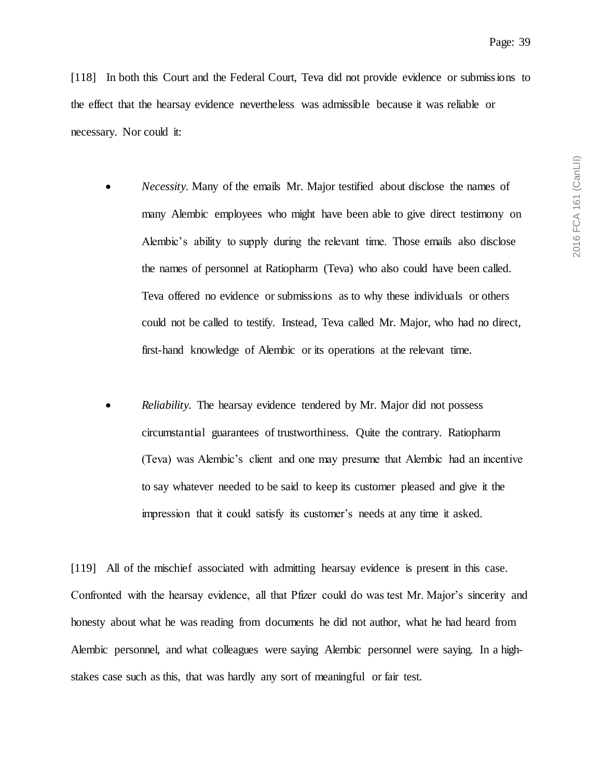[118] In both this Court and the Federal Court, Teva did not provide evidence or submissions to the effect that the hearsay evidence nevertheless was admissible because it was reliable or necessary. Nor could it:

- *Necessity.* Many of the emails Mr. Major testified about disclose the names of many Alembic employees who might have been able to give direct testimony on Alembic's ability to supply during the relevant time. Those emails also disclose the names of personnel at Ratiopharm (Teva) who also could have been called. Teva offered no evidence or submissions as to why these individuals or others could not be called to testify. Instead, Teva called Mr. Major, who had no direct, first-hand knowledge of Alembic or its operations at the relevant time.
- *Reliability.* The hearsay evidence tendered by Mr. Major did not possess circumstantial guarantees of trustworthiness. Quite the contrary. Ratiopharm (Teva) was Alembic's client and one may presume that Alembic had an incentive to say whatever needed to be said to keep its customer pleased and give it the impression that it could satisfy its customer's needs at any time it asked.

[119] All of the mischief associated with admitting hearsay evidence is present in this case. Confronted with the hearsay evidence, all that Pfizer could do was test Mr. Major's sincerity and honesty about what he was reading from documents he did not author, what he had heard from Alembic personnel, and what colleagues were saying Alembic personnel were saying. In a highstakes case such as this, that was hardly any sort of meaningful or fair test.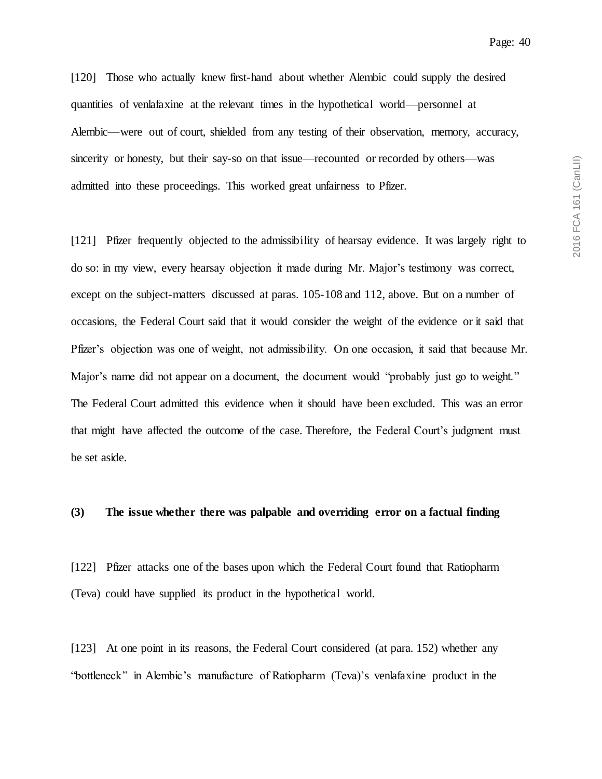Page: 40

[120] Those who actually knew first-hand about whether Alembic could supply the desired quantities of venlafaxine at the relevant times in the hypothetical world—personnel at Alembic—were out of court, shielded from any testing of their observation, memory, accuracy, sincerity or honesty, but their say-so on that issue—recounted or recorded by others—was admitted into these proceedings. This worked great unfairness to Pfizer.

[121] Pfizer frequently objected to the admissibility of hearsay evidence. It was largely right to do so: in my view, every hearsay objection it made during Mr. Major's testimony was correct, except on the subject-matters discussed at paras. 105-108 and 112, above. But on a number of occasions, the Federal Court said that it would consider the weight of the evidence or it said that Pfizer's objection was one of weight, not admissibility. On one occasion, it said that because Mr. Major's name did not appear on a document, the document would "probably just go to weight." The Federal Court admitted this evidence when it should have been excluded. This was an error that might have affected the outcome of the case. Therefore, the Federal Court's judgment must be set aside.

#### **(3) The issue whether there was palpable and overriding error on a factual finding**

[122] Pfizer attacks one of the bases upon which the Federal Court found that Ratiopharm (Teva) could have supplied its product in the hypothetical world.

[123] At one point in its reasons, the Federal Court considered (at para. 152) whether any "bottleneck" in Alembic's manufacture of Ratiopharm (Teva)'s venlafaxine product in the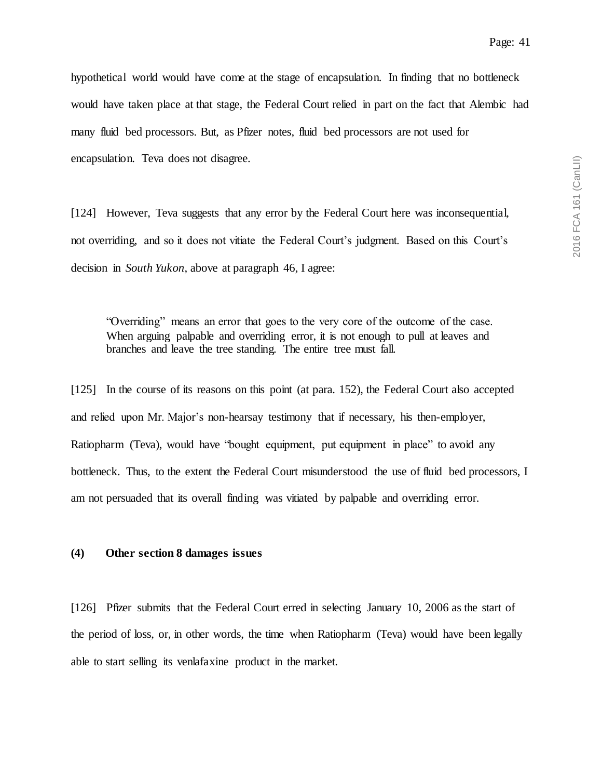hypothetical world would have come at the stage of encapsulation. In finding that no bottleneck would have taken place at that stage, the Federal Court relied in part on the fact that Alembic had many fluid bed processors. But, as Pfizer notes, fluid bed processors are not used for encapsulation. Teva does not disagree.

[124] However, Teva suggests that any error by the Federal Court here was inconsequential, not overriding, and so it does not vitiate the Federal Court's judgment. Based on this Court's decision in *South Yukon*, above at paragraph 46, I agree:

"Overriding" means an error that goes to the very core of the outcome of the case. When arguing palpable and overriding error, it is not enough to pull at leaves and branches and leave the tree standing. The entire tree must fall.

[125] In the course of its reasons on this point (at para. 152), the Federal Court also accepted and relied upon Mr. Major's non-hearsay testimony that if necessary, his then-employer, Ratiopharm (Teva), would have "bought equipment, put equipment in place" to avoid any bottleneck. Thus, to the extent the Federal Court misunderstood the use of fluid bed processors, I am not persuaded that its overall finding was vitiated by palpable and overriding error.

#### **(4) Other section 8 damages issues**

[126] Pfizer submits that the Federal Court erred in selecting January 10, 2006 as the start of the period of loss, or, in other words, the time when Ratiopharm (Teva) would have been legally able to start selling its venlafaxine product in the market.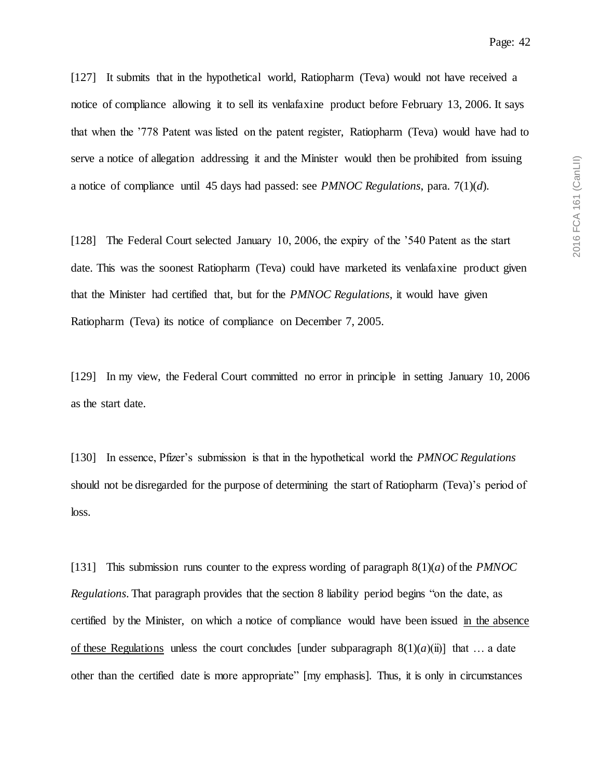[127] It submits that in the hypothetical world, Ratiopharm (Teva) would not have received a notice of compliance allowing it to sell its venlafaxine product before February 13, 2006. It says that when the '778 Patent was listed on the patent register, Ratiopharm (Teva) would have had to serve a notice of allegation addressing it and the Minister would then be prohibited from issuing a notice of compliance until 45 days had passed: see *PMNOC Regulations*, para. 7(1)(*d*).

[128] The Federal Court selected January 10, 2006, the expiry of the '540 Patent as the start date. This was the soonest Ratiopharm (Teva) could have marketed its venlafaxine product given that the Minister had certified that, but for the *PMNOC Regulations*, it would have given Ratiopharm (Teva) its notice of compliance on December 7, 2005.

[129] In my view, the Federal Court committed no error in principle in setting January 10, 2006 as the start date.

[130] In essence, Pfizer's submission is that in the hypothetical world the *PMNOC Regulations* should not be disregarded for the purpose of determining the start of Ratiopharm (Teva)'s period of loss.

[131] This submission runs counter to the express wording of paragraph 8(1)(*a*) of the *PMNOC Regulations*. That paragraph provides that the section 8 liability period begins "on the date, as certified by the Minister, on which a notice of compliance would have been issued in the absence of these Regulations unless the court concludes [under subparagraph  $8(1)(a)(ii)$ ] that ... a date other than the certified date is more appropriate" [my emphasis]. Thus, it is only in circumstances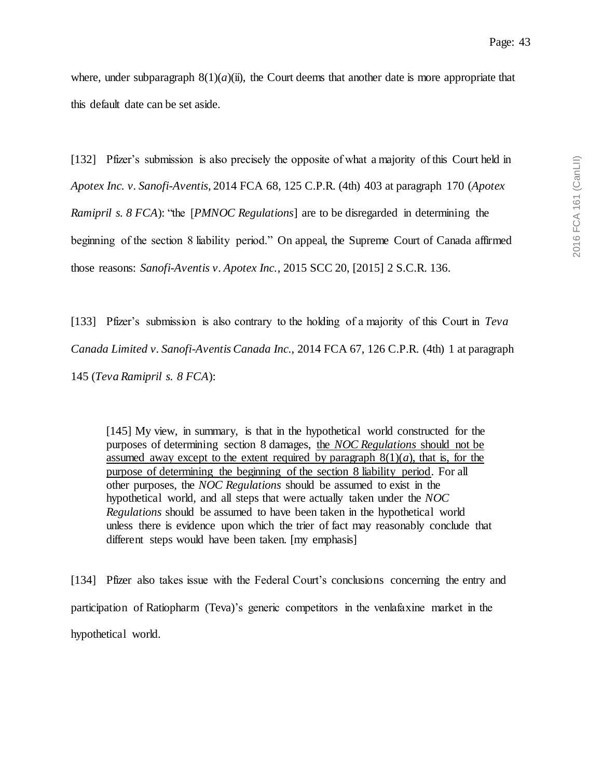where, under subparagraph  $8(1)(a)(ii)$ , the Court deems that another date is more appropriate that this default date can be set aside.

[132] Pfizer's submission is also precisely the opposite of what a majority of this Court held in

*Apotex Inc. v. Sanofi-Aventis*, 2014 FCA 68, 125 C.P.R. (4th) 403 at paragraph 170 (*Apotex* 

*Ramipril s. 8 FCA*): "the [*PMNOC Regulations*] are to be disregarded in determining the

beginning of the section 8 liability period." On appeal, the Supreme Court of Canada affirmed

those reasons: *Sanofi-Aventis v. Apotex Inc.*, 2015 SCC 20, [2015] 2 S.C.R. 136.

[133] Pfizer's submission is also contrary to the holding of a majority of this Court in *Teva Canada Limited v. Sanofi-Aventis Canada Inc.*, 2014 FCA 67, 126 C.P.R. (4th) 1 at paragraph 145 (*Teva Ramipril s. 8 FCA*):

[145] My view, in summary, is that in the hypothetical world constructed for the purposes of determining section 8 damages, the *NOC Regulations* should not be assumed away except to the extent required by paragraph  $8(1)(a)$ , that is, for the purpose of determining the beginning of the section 8 liability period. For all other purposes, the *NOC Regulations* should be assumed to exist in the hypothetical world, and all steps that were actually taken under the *NOC Regulations* should be assumed to have been taken in the hypothetical world unless there is evidence upon which the trier of fact may reasonably conclude that different steps would have been taken. [my emphasis]

[134] Pfizer also takes issue with the Federal Court's conclusions concerning the entry and participation of Ratiopharm (Teva)'s generic competitors in the venlafaxine market in the hypothetical world.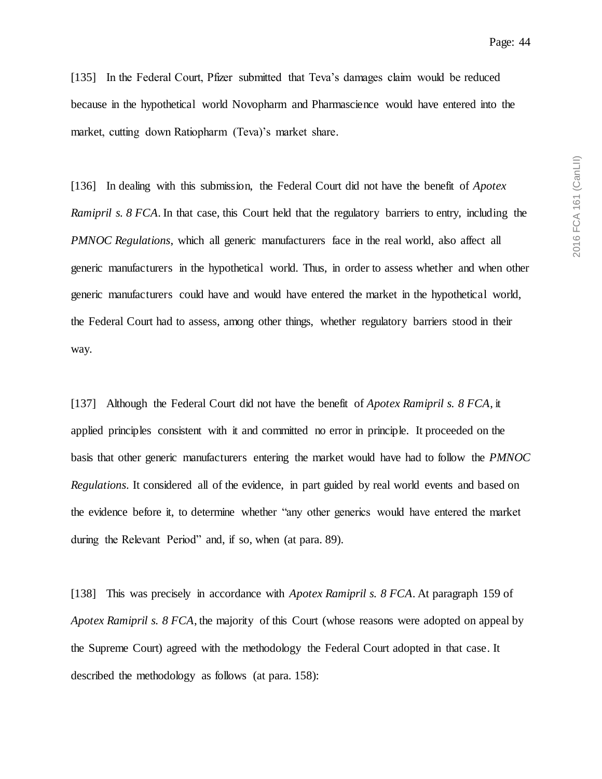2016 FCA 161 (CanLII) 2016 FCA 161 (CanLII)

[135] In the Federal Court, Pfizer submitted that Teva's damages claim would be reduced because in the hypothetical world Novopharm and Pharmascience would have entered into the market, cutting down Ratiopharm (Teva)'s market share.

[136] In dealing with this submission, the Federal Court did not have the benefit of *Apotex Ramipril s. 8 FCA*. In that case, this Court held that the regulatory barriers to entry, including the *PMNOC Regulations*, which all generic manufacturers face in the real world, also affect all generic manufacturers in the hypothetical world. Thus, in order to assess whether and when other generic manufacturers could have and would have entered the market in the hypothetical world, the Federal Court had to assess, among other things, whether regulatory barriers stood in their way.

[137] Although the Federal Court did not have the benefit of *Apotex Ramipril s. 8 FCA*, it applied principles consistent with it and committed no error in principle. It proceeded on the basis that other generic manufacturers entering the market would have had to follow the *PMNOC Regulations*. It considered all of the evidence, in part guided by real world events and based on the evidence before it, to determine whether "any other generics would have entered the market during the Relevant Period" and, if so, when (at para. 89).

[138] This was precisely in accordance with *Apotex Ramipril s. 8 FCA*. At paragraph 159 of *Apotex Ramipril s. 8 FCA*, the majority of this Court (whose reasons were adopted on appeal by the Supreme Court) agreed with the methodology the Federal Court adopted in that case. It described the methodology as follows (at para. 158):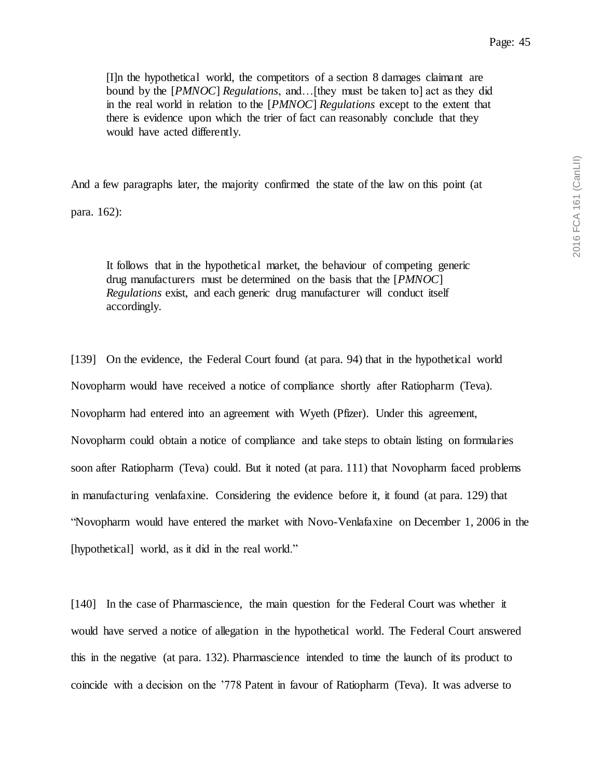[I]n the hypothetical world, the competitors of a section 8 damages claimant are bound by the [*PMNOC*] *Regulations*, and…[they must be taken to] act as they did in the real world in relation to the [*PMNOC*] *Regulations* except to the extent that there is evidence upon which the trier of fact can reasonably conclude that they would have acted differently.

And a few paragraphs later, the majority confirmed the state of the law on this point (at

para. 162):

It follows that in the hypothetical market, the behaviour of competing generic drug manufacturers must be determined on the basis that the [*PMNOC*] *Regulations* exist, and each generic drug manufacturer will conduct itself accordingly.

[139] On the evidence, the Federal Court found (at para. 94) that in the hypothetical world Novopharm would have received a notice of compliance shortly after Ratiopharm (Teva). Novopharm had entered into an agreement with Wyeth (Pfizer). Under this agreement, Novopharm could obtain a notice of compliance and take steps to obtain listing on formularies soon after Ratiopharm (Teva) could. But it noted (at para. 111) that Novopharm faced problems in manufacturing venlafaxine. Considering the evidence before it, it found (at para. 129) that "Novopharm would have entered the market with Novo-Venlafaxine on December 1, 2006 in the [hypothetical] world, as it did in the real world."

[140] In the case of Pharmascience, the main question for the Federal Court was whether it would have served a notice of allegation in the hypothetical world. The Federal Court answered this in the negative (at para. 132). Pharmascience intended to time the launch of its product to coincide with a decision on the '778 Patent in favour of Ratiopharm (Teva). It was adverse to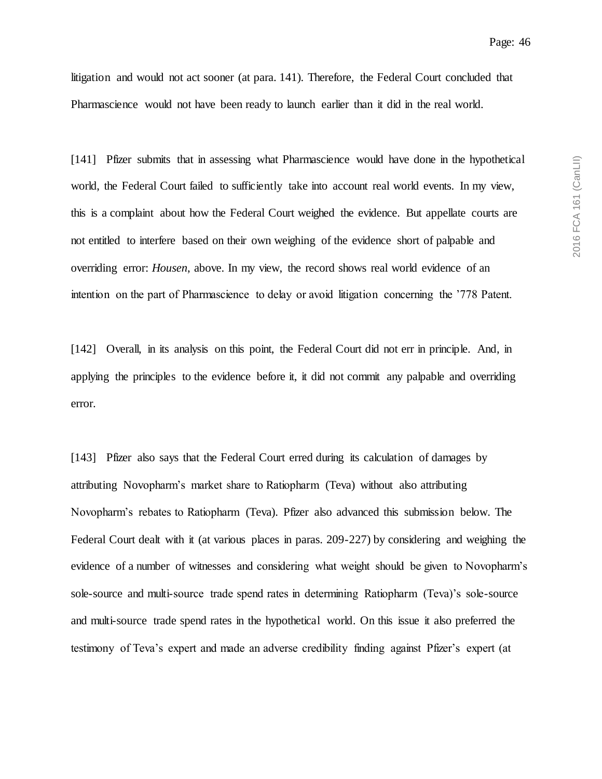litigation and would not act sooner (at para. 141). Therefore, the Federal Court concluded that Pharmascience would not have been ready to launch earlier than it did in the real world.

[141] Pfizer submits that in assessing what Pharmascience would have done in the hypothetical world, the Federal Court failed to sufficiently take into account real world events. In my view, this is a complaint about how the Federal Court weighed the evidence. But appellate courts are not entitled to interfere based on their own weighing of the evidence short of palpable and overriding error: *Housen*, above. In my view, the record shows real world evidence of an intention on the part of Pharmascience to delay or avoid litigation concerning the '778 Patent.

[142] Overall, in its analysis on this point, the Federal Court did not err in principle. And, in applying the principles to the evidence before it, it did not commit any palpable and overriding error.

[143] Pfizer also says that the Federal Court erred during its calculation of damages by attributing Novopharm's market share to Ratiopharm (Teva) without also attributing Novopharm's rebates to Ratiopharm (Teva). Pfizer also advanced this submission below. The Federal Court dealt with it (at various places in paras. 209-227) by considering and weighing the evidence of a number of witnesses and considering what weight should be given to Novopharm's sole-source and multi-source trade spend rates in determining Ratiopharm (Teva)'s sole-source and multi-source trade spend rates in the hypothetical world. On this issue it also preferred the testimony of Teva's expert and made an adverse credibility finding against Pfizer's expert (at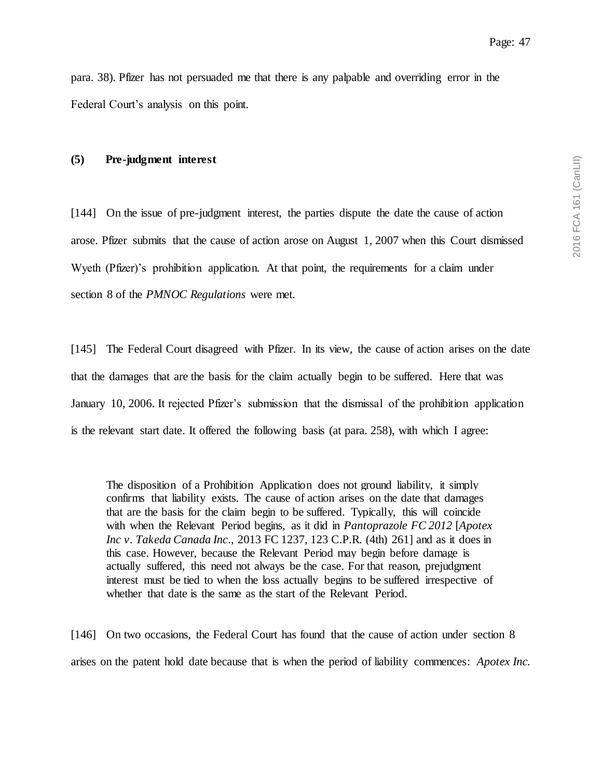para. 38). Pfizer has not persuaded me that there is any palpable and overriding error in the Federal Court's analysis on this point.

#### **(5) Pre-judgment interest**

[144] On the issue of pre-judgment interest, the parties dispute the date the cause of action arose. Pfizer submits that the cause of action arose on August 1, 2007 when this Court dismissed Wyeth (Pfizer)'s prohibition application. At that point, the requirements for a claim under section 8 of the *PMNOC Regulations* were met.

[145] The Federal Court disagreed with Pfizer. In its view, the cause of action arises on the date that the damages that are the basis for the claim actually begin to be suffered. Here that was January 10, 2006. It rejected Pfizer's submission that the dismissal of the prohibition application is the relevant start date. It offered the following basis (at para. 258), with which I agree:

The disposition of a Prohibition Application does not ground liability, it simply confirms that liability exists. The cause of action arises on the date that damages that are the basis for the claim begin to be suffered. Typically, this will coincide with when the Relevant Period begins, as it did in *Pantoprazole FC 2012* [*Apotex Inc v. Takeda Canada Inc*., 2013 FC 1237, 123 C.P.R. (4th) 261] and as it does in this case. However, because the Relevant Period may begin before damage is actually suffered, this need not always be the case. For that reason, prejudgment interest must be tied to when the loss actually begins to be suffered irrespective of whether that date is the same as the start of the Relevant Period.

[146] On two occasions, the Federal Court has found that the cause of action under section 8 arises on the patent hold date because that is when the period of liability commences: *Apotex Inc.*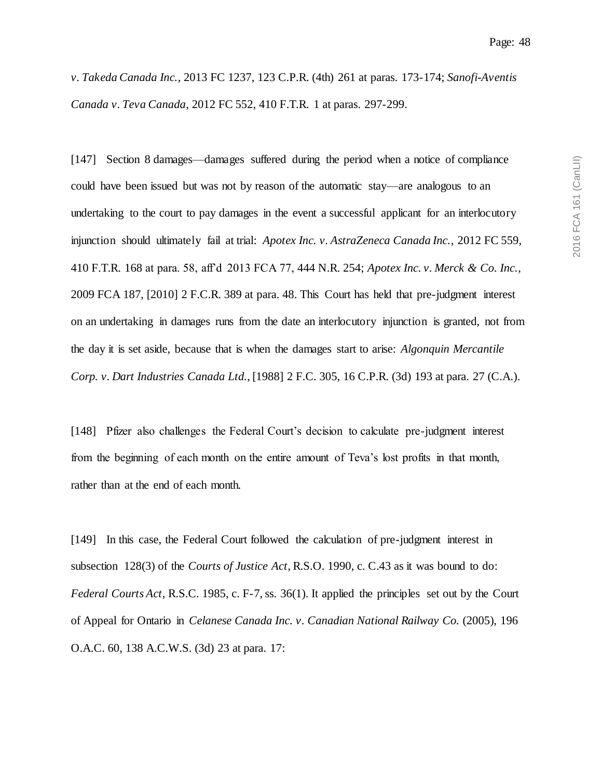*v. Takeda Canada Inc.*, 2013 FC 1237, 123 C.P.R. (4th) 261 at paras. 173-174; *Sanofi-Aventis Canada v. Teva Canada*, 2012 FC 552, 410 F.T.R. 1 at paras. 297-299.

[147] Section 8 damages—damages suffered during the period when a notice of compliance could have been issued but was not by reason of the automatic stay—are analogous to an undertaking to the court to pay damages in the event a successful applicant for an interlocutory injunction should ultimately fail at trial: *Apotex Inc. v. AstraZeneca Canada Inc.*, 2012 FC 559, 410 F.T.R. 168 at para. 58, aff'd 2013 FCA 77, 444 N.R. 254; *Apotex Inc. v. Merck & Co. Inc.*, 2009 FCA 187, [2010] 2 F.C.R. 389 at para. 48. This Court has held that pre-judgment interest on an undertaking in damages runs from the date an interlocutory injunction is granted, not from the day it is set aside, because that is when the damages start to arise: *Algonquin Mercantile Corp. v. Dart Industries Canada Ltd.*, [1988] 2 F.C. 305, 16 C.P.R. (3d) 193 at para. 27 (C.A.).

[148] Pfizer also challenges the Federal Court's decision to calculate pre-judgment interest from the beginning of each month on the entire amount of Teva's lost profits in that month, rather than at the end of each month.

[149] In this case, the Federal Court followed the calculation of pre-judgment interest in subsection 128(3) of the *Courts of Justice Act*, R.S.O. 1990, c. C.43 as it was bound to do: *Federal Courts Act*, R.S.C. 1985, c. F-7, ss. 36(1). It applied the principles set out by the Court of Appeal for Ontario in *Celanese Canada Inc. v. Canadian National Railway Co.* (2005), 196 O.A.C. 60, 138 A.C.W.S. (3d) 23 at para. 17: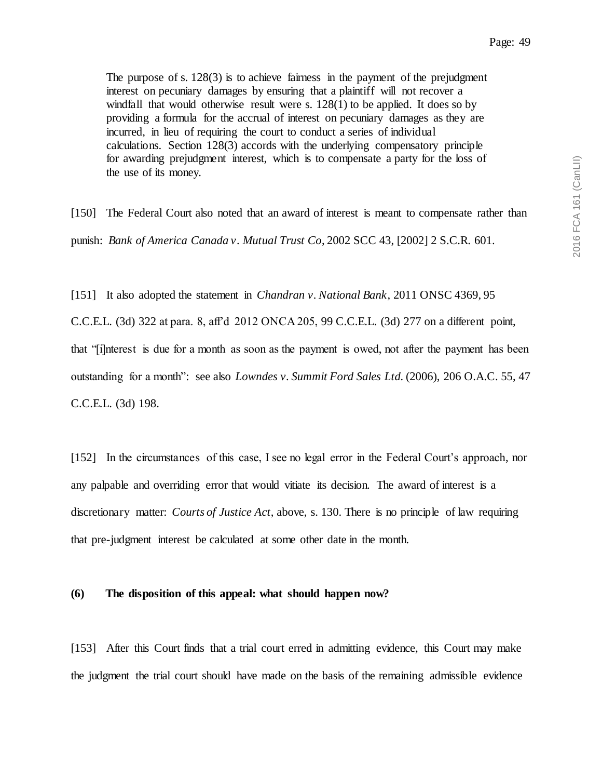Page: 49

The purpose of s. 128(3) is to achieve fairness in the payment of the prejudgment interest on pecuniary damages by ensuring that a plaintiff will not recover a windfall that would otherwise result were s. 128(1) to be applied. It does so by providing a formula for the accrual of interest on pecuniary damages as they are incurred, in lieu of requiring the court to conduct a series of individual calculations. Section 128(3) accords with the underlying compensatory principle for awarding prejudgment interest, which is to compensate a party for the loss of the use of its money.

[150] The Federal Court also noted that an award of interest is meant to compensate rather than punish: *Bank of America Canada v. Mutual Trust Co*, 2002 SCC 43, [2002] 2 S.C.R. 601.

[151] It also adopted the statement in *Chandran v. National Bank*, 2011 ONSC 4369, 95 C.C.E.L. (3d) 322 at para. 8, aff'd 2012 ONCA 205, 99 C.C.E.L. (3d) 277 on a different point, that "[i]nterest is due for a month as soon as the payment is owed, not after the payment has been outstanding for a month": see also *Lowndes v. Summit Ford Sales Ltd.* (2006), 206 O.A.C. 55, 47 C.C.E.L. (3d) 198.

[152] In the circumstances of this case, I see no legal error in the Federal Court's approach, nor any palpable and overriding error that would vitiate its decision. The award of interest is a discretionary matter: *Courts of Justice Act*, above, s. 130. There is no principle of law requiring that pre-judgment interest be calculated at some other date in the month.

#### **(6) The disposition of this appeal: what should happen now?**

[153] After this Court finds that a trial court erred in admitting evidence, this Court may make the judgment the trial court should have made on the basis of the remaining admissible evidence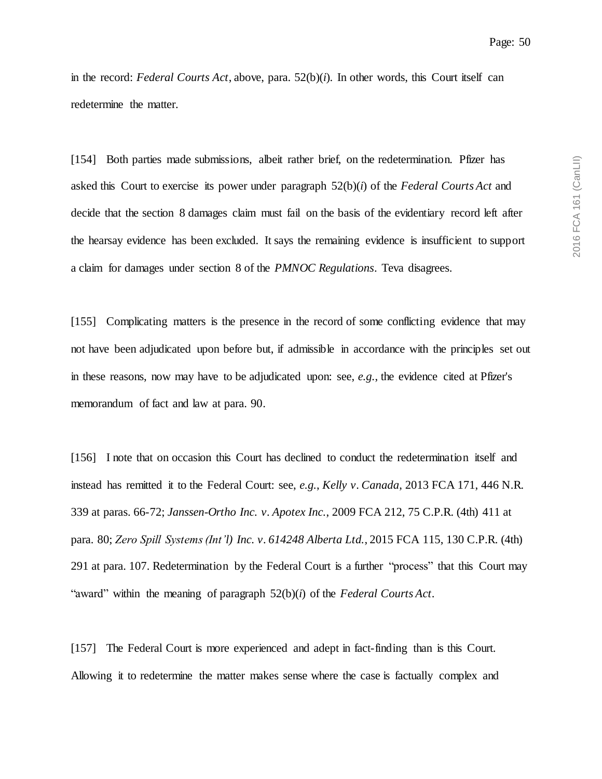in the record: *Federal Courts Act*, above, para. 52(b)(*i*). In other words, this Court itself can redetermine the matter.

[154] Both parties made submissions, albeit rather brief, on the redetermination. Pfizer has asked this Court to exercise its power under paragraph 52(b)(*i*) of the *Federal Courts Act* and decide that the section 8 damages claim must fail on the basis of the evidentiary record left after the hearsay evidence has been excluded. It says the remaining evidence is insufficient to support a claim for damages under section 8 of the *PMNOC Regulations*. Teva disagrees.

[155] Complicating matters is the presence in the record of some conflicting evidence that may not have been adjudicated upon before but, if admissible in accordance with the principles set out in these reasons, now may have to be adjudicated upon: see, *e.g.*, the evidence cited at Pfizer's memorandum of fact and law at para. 90.

[156] I note that on occasion this Court has declined to conduct the redetermination itself and instead has remitted it to the Federal Court: see, *e.g.*, *Kelly v. Canada*, 2013 FCA 171, 446 N.R. 339 at paras. 66-72; *Janssen-Ortho Inc. v. Apotex Inc.*, 2009 FCA 212, 75 C.P.R. (4th) 411 at para. 80; *Zero Spill Systems (Int'l) Inc. v. 614248 Alberta Ltd.*, 2015 FCA 115, 130 C.P.R. (4th) 291 at para. 107. Redetermination by the Federal Court is a further "process" that this Court may "award" within the meaning of paragraph 52(b)(*i*) of the *Federal Courts Act*.

[157] The Federal Court is more experienced and adept in fact-finding than is this Court. Allowing it to redetermine the matter makes sense where the case is factually complex and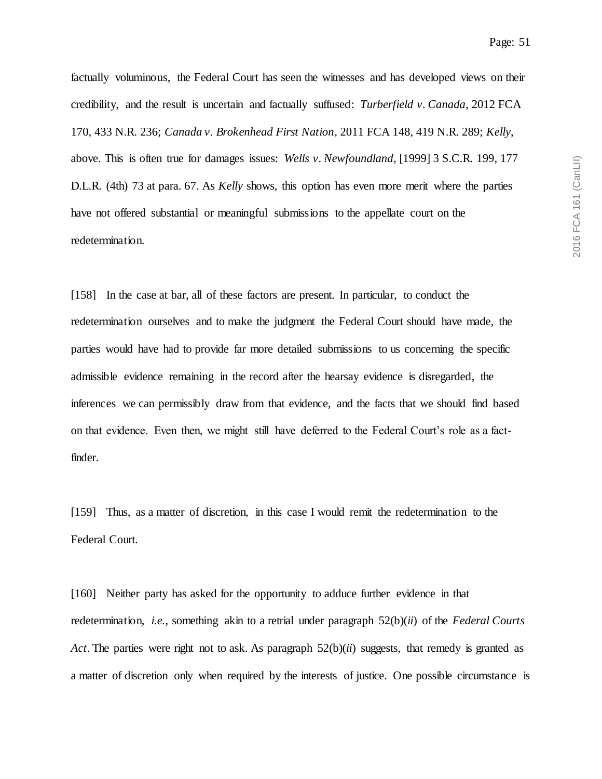2016 FCA 161 (CanLII) 2016 FCA 161 (CanLII)

factually voluminous, the Federal Court has seen the witnesses and has developed views on their credibility, and the result is uncertain and factually suffused: *Turberfield v. Canada*, 2012 FCA 170, 433 N.R. 236; *Canada v. Brokenhead First Nation*, 2011 FCA 148, 419 N.R. 289; *Kelly*, above. This is often true for damages issues: *Wells v. Newfoundland*, [1999] 3 S.C.R. 199, 177 D.L.R. (4th) 73 at para. 67. As *Kelly* shows, this option has even more merit where the parties have not offered substantial or meaningful submissions to the appellate court on the redetermination.

[158] In the case at bar, all of these factors are present. In particular, to conduct the redetermination ourselves and to make the judgment the Federal Court should have made, the parties would have had to provide far more detailed submissions to us concerning the specific admissible evidence remaining in the record after the hearsay evidence is disregarded, the inferences we can permissibly draw from that evidence, and the facts that we should find based on that evidence. Even then, we might still have deferred to the Federal Court's role as a factfinder.

[159] Thus, as a matter of discretion, in this case I would remit the redetermination to the Federal Court.

[160] Neither party has asked for the opportunity to adduce further evidence in that redetermination, *i.e.*, something akin to a retrial under paragraph 52(b)(*ii*) of the *Federal Courts Act*. The parties were right not to ask. As paragraph  $52(b)(ii)$  suggests, that remedy is granted as a matter of discretion only when required by the interests of justice. One possible circumstance is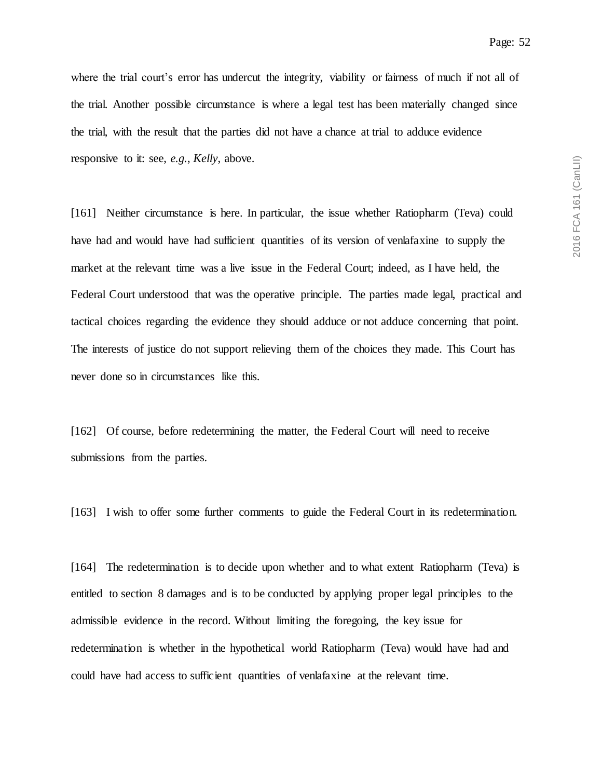where the trial court's error has undercut the integrity, viability or fairness of much if not all of the trial. Another possible circumstance is where a legal test has been materially changed since the trial, with the result that the parties did not have a chance at trial to adduce evidence responsive to it: see, *e.g.*, *Kelly*, above.

[161] Neither circumstance is here. In particular, the issue whether Ratiopharm (Teva) could have had and would have had sufficient quantities of its version of venlafaxine to supply the market at the relevant time was a live issue in the Federal Court; indeed, as I have held, the Federal Court understood that was the operative principle. The parties made legal, practical and tactical choices regarding the evidence they should adduce or not adduce concerning that point. The interests of justice do not support relieving them of the choices they made. This Court has never done so in circumstances like this.

[162] Of course, before redetermining the matter, the Federal Court will need to receive submissions from the parties.

[163] I wish to offer some further comments to guide the Federal Court in its redetermination.

[164] The redetermination is to decide upon whether and to what extent Ratiopharm (Teva) is entitled to section 8 damages and is to be conducted by applying proper legal principles to the admissible evidence in the record. Without limiting the foregoing, the key issue for redetermination is whether in the hypothetical world Ratiopharm (Teva) would have had and could have had access to sufficient quantities of venlafaxine at the relevant time.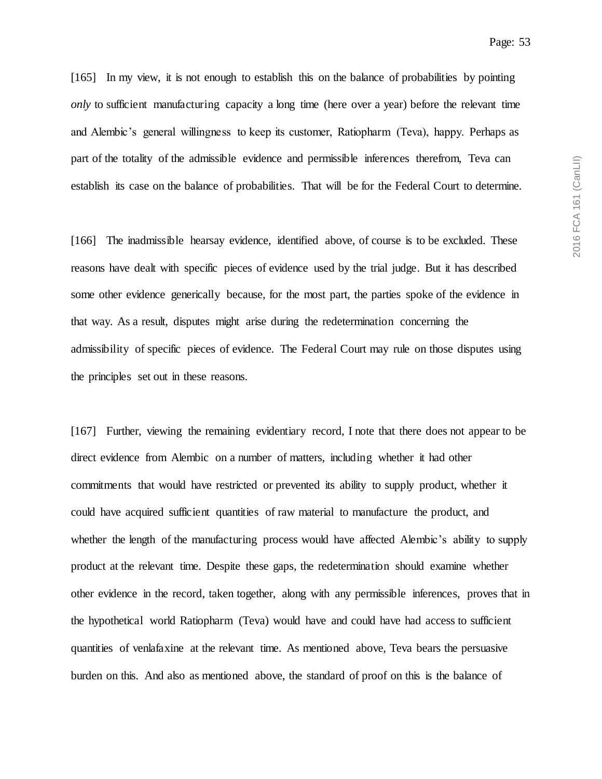[165] In my view, it is not enough to establish this on the balance of probabilities by pointing *only* to sufficient manufacturing capacity a long time (here over a year) before the relevant time and Alembic's general willingness to keep its customer, Ratiopharm (Teva), happy. Perhaps as part of the totality of the admissible evidence and permissible inferences therefrom, Teva can establish its case on the balance of probabilities. That will be for the Federal Court to determine.

[166] The inadmissible hearsay evidence, identified above, of course is to be excluded. These reasons have dealt with specific pieces of evidence used by the trial judge. But it has described some other evidence generically because, for the most part, the parties spoke of the evidence in that way. As a result, disputes might arise during the redetermination concerning the admissibility of specific pieces of evidence. The Federal Court may rule on those disputes using the principles set out in these reasons.

[167] Further, viewing the remaining evidentiary record, I note that there does not appear to be direct evidence from Alembic on a number of matters, including whether it had other commitments that would have restricted or prevented its ability to supply product, whether it could have acquired sufficient quantities of raw material to manufacture the product, and whether the length of the manufacturing process would have affected Alembic's ability to supply product at the relevant time. Despite these gaps, the redetermination should examine whether other evidence in the record, taken together, along with any permissible inferences, proves that in the hypothetical world Ratiopharm (Teva) would have and could have had access to sufficient quantities of venlafaxine at the relevant time. As mentioned above, Teva bears the persuasive burden on this. And also as mentioned above, the standard of proof on this is the balance of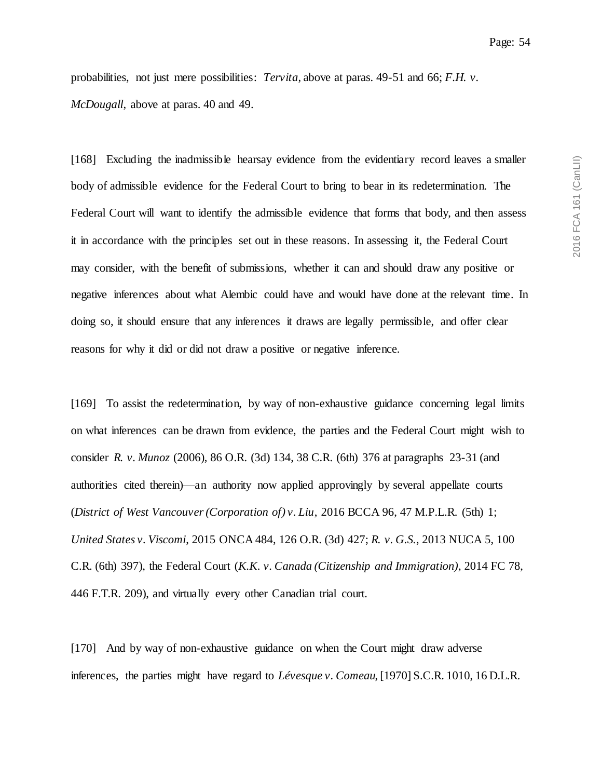probabilities, not just mere possibilities: *Tervita*, above at paras. 49-51 and 66; *F.H. v. McDougall*, above at paras. 40 and 49.

[168] Excluding the inadmissible hearsay evidence from the evidentiary record leaves a smaller body of admissible evidence for the Federal Court to bring to bear in its redetermination. The Federal Court will want to identify the admissible evidence that forms that body, and then assess it in accordance with the principles set out in these reasons. In assessing it, the Federal Court may consider, with the benefit of submissions, whether it can and should draw any positive or negative inferences about what Alembic could have and would have done at the relevant time. In doing so, it should ensure that any inferences it draws are legally permissible, and offer clear reasons for why it did or did not draw a positive or negative inference.

[169] To assist the redetermination, by way of non-exhaustive guidance concerning legal limits on what inferences can be drawn from evidence, the parties and the Federal Court might wish to consider *R. v. Munoz* (2006), 86 O.R. (3d) 134, 38 C.R. (6th) 376 at paragraphs 23-31 (and authorities cited therein)—an authority now applied approvingly by several appellate courts (*District of West Vancouver (Corporation of) v. Liu*, 2016 BCCA 96, 47 M.P.L.R. (5th) 1; *United States v. Viscomi*, 2015 ONCA 484, 126 O.R. (3d) 427; *R. v. G.S.*, 2013 NUCA 5, 100 C.R. (6th) 397), the Federal Court (*K.K. v. Canada (Citizenship and Immigration)*, 2014 FC 78, 446 F.T.R. 209), and virtually every other Canadian trial court.

[170] And by way of non-exhaustive guidance on when the Court might draw adverse inferences, the parties might have regard to *Lévesque v. Comeau*, [1970] S.C.R. 1010, 16 D.L.R.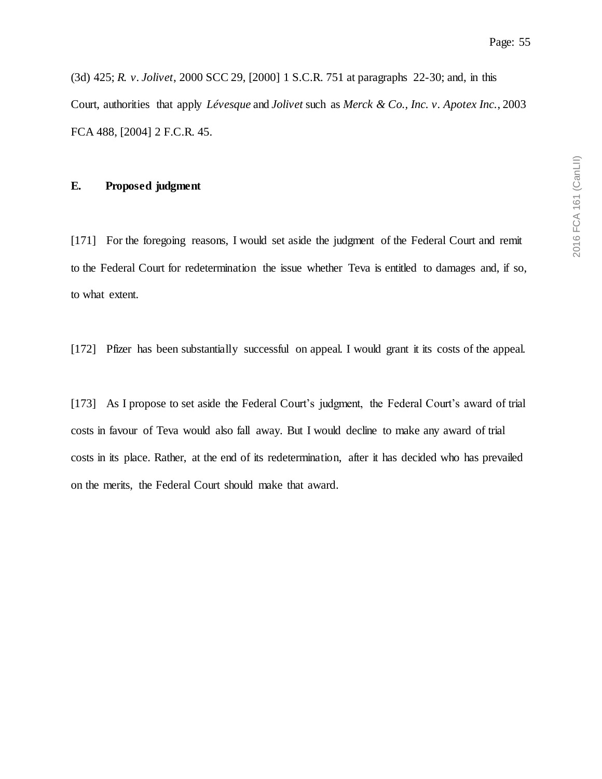(3d) 425; *R. v. Jolivet*, 2000 SCC 29, [2000] 1 S.C.R. 751 at paragraphs 22-30; and, in this Court, authorities that apply *Lévesque* and *Jolivet* such as *Merck & Co., Inc. v. Apotex Inc.*, 2003 FCA 488, [2004] 2 F.C.R. 45.

## **E. Proposed judgment**

[171] For the foregoing reasons, I would set aside the judgment of the Federal Court and remit to the Federal Court for redetermination the issue whether Teva is entitled to damages and, if so, to what extent.

[172] Pfizer has been substantially successful on appeal. I would grant it its costs of the appeal.

[173] As I propose to set aside the Federal Court's judgment, the Federal Court's award of trial costs in favour of Teva would also fall away. But I would decline to make any award of trial costs in its place. Rather, at the end of its redetermination, after it has decided who has prevailed on the merits, the Federal Court should make that award.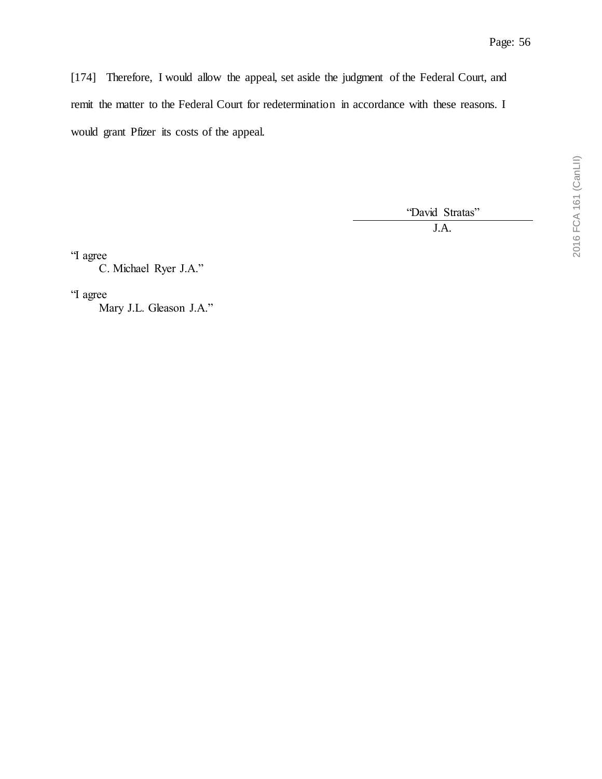[174] Therefore, I would allow the appeal, set aside the judgment of the Federal Court, and remit the matter to the Federal Court for redetermination in accordance with these reasons. I would grant Pfizer its costs of the appeal.

"David Stratas"

J.A.

"I agree

C. Michael Ryer J.A."

"I agree

Mary J.L. Gleason J.A."